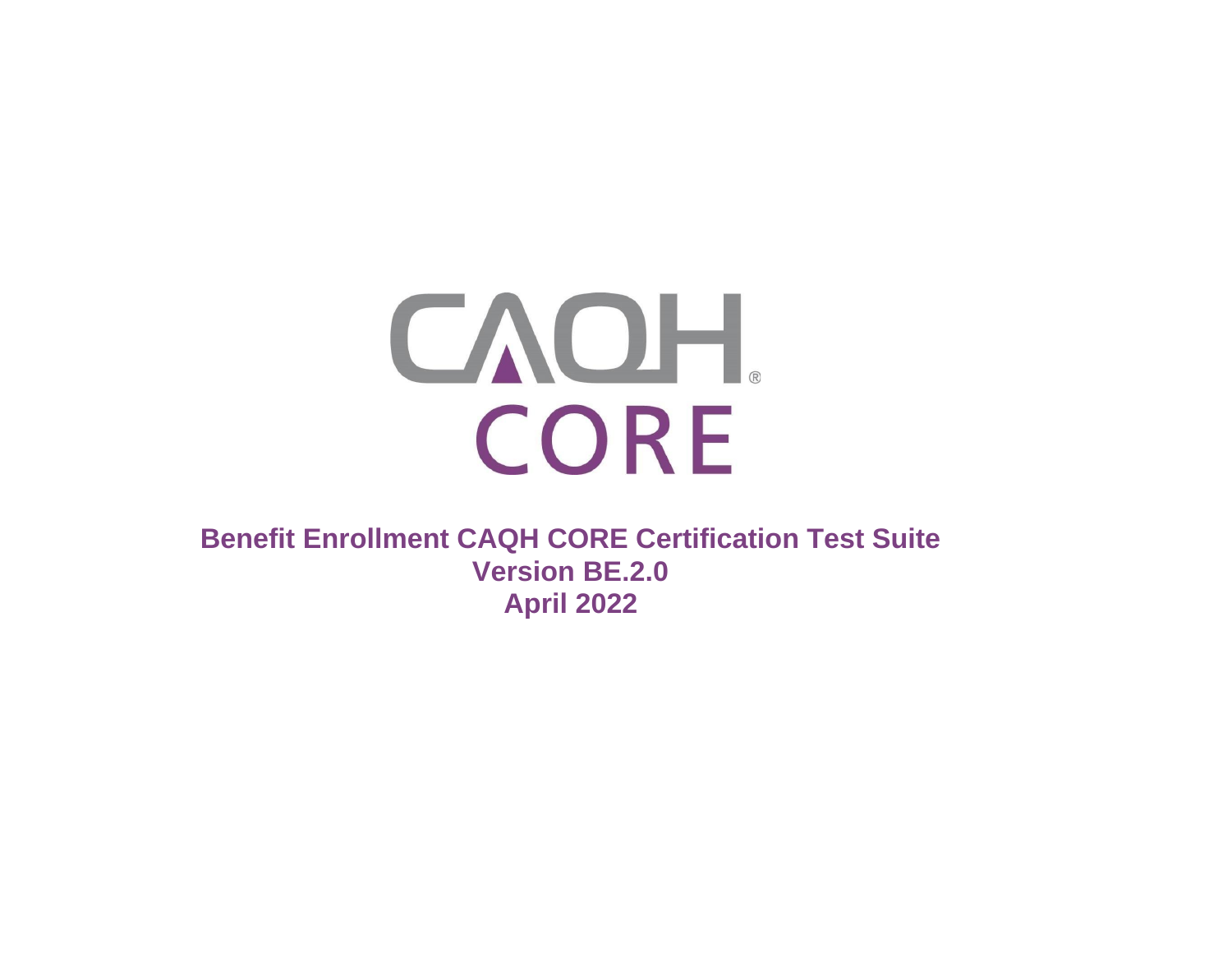

**Benefit Enrollment CAQH CORE Certification Test Suite Version BE.2.0 April 2022**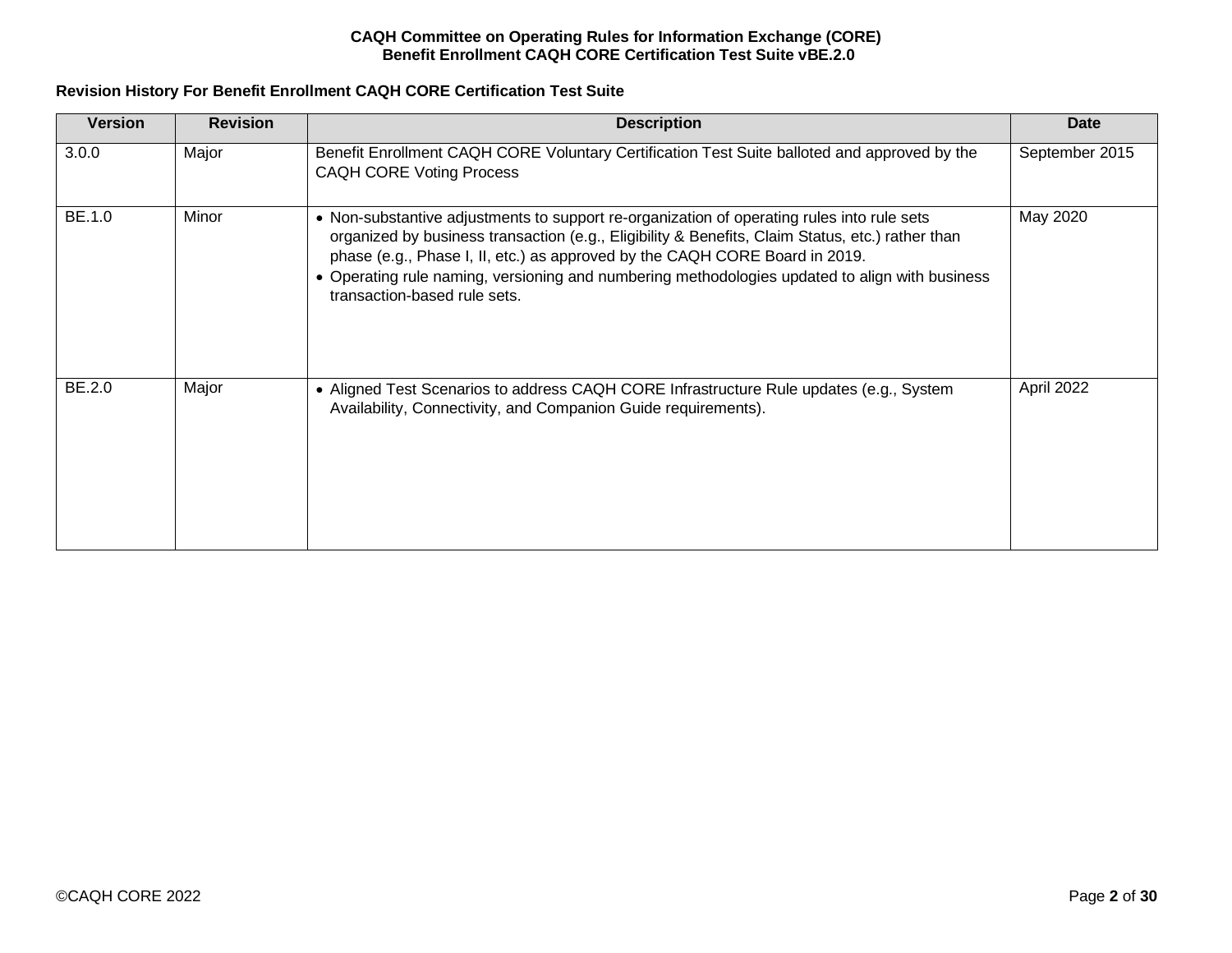# **Revision History For Benefit Enrollment CAQH CORE Certification Test Suite**

| <b>Version</b> | <b>Revision</b> | <b>Description</b>                                                                                                                                                                                                                                                                                                                                                                                              | <b>Date</b>    |
|----------------|-----------------|-----------------------------------------------------------------------------------------------------------------------------------------------------------------------------------------------------------------------------------------------------------------------------------------------------------------------------------------------------------------------------------------------------------------|----------------|
| 3.0.0          | Major           | Benefit Enrollment CAQH CORE Voluntary Certification Test Suite balloted and approved by the<br><b>CAQH CORE Voting Process</b>                                                                                                                                                                                                                                                                                 | September 2015 |
| BE.1.0         | Minor           | • Non-substantive adjustments to support re-organization of operating rules into rule sets<br>organized by business transaction (e.g., Eligibility & Benefits, Claim Status, etc.) rather than<br>phase (e.g., Phase I, II, etc.) as approved by the CAQH CORE Board in 2019.<br>• Operating rule naming, versioning and numbering methodologies updated to align with business<br>transaction-based rule sets. | May 2020       |
| BE.2.0         | Major           | • Aligned Test Scenarios to address CAQH CORE Infrastructure Rule updates (e.g., System<br>Availability, Connectivity, and Companion Guide requirements).                                                                                                                                                                                                                                                       | April 2022     |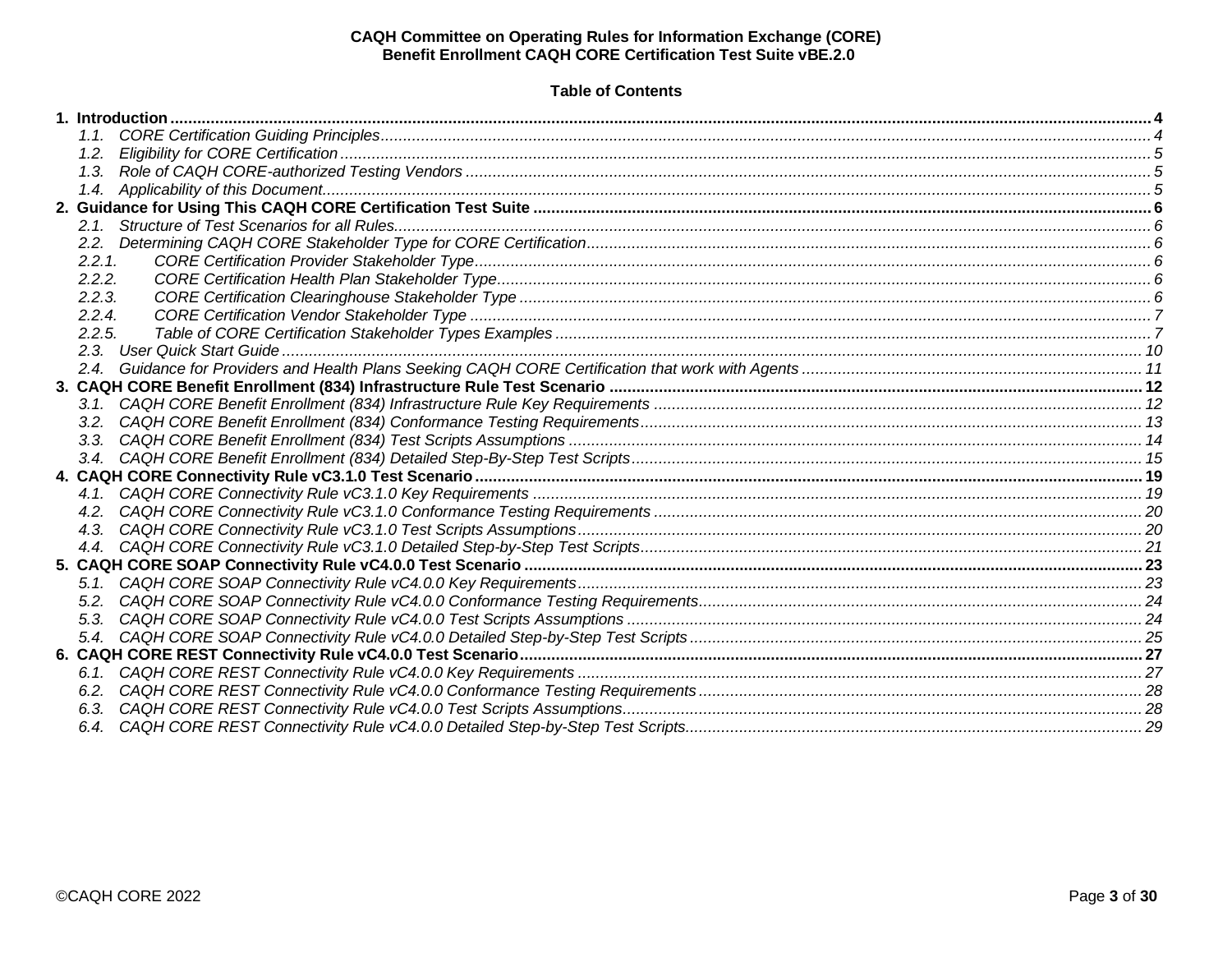# **Table of Contents**

| 2.2.   |  |
|--------|--|
| 2.2.1  |  |
| 2.2.2. |  |
| 2.2.3. |  |
| 2.2.4. |  |
| 2.2.5. |  |
|        |  |
|        |  |
|        |  |
|        |  |
|        |  |
|        |  |
|        |  |
|        |  |
|        |  |
|        |  |
|        |  |
|        |  |
|        |  |
|        |  |
|        |  |
|        |  |
|        |  |
|        |  |
|        |  |
|        |  |
|        |  |
|        |  |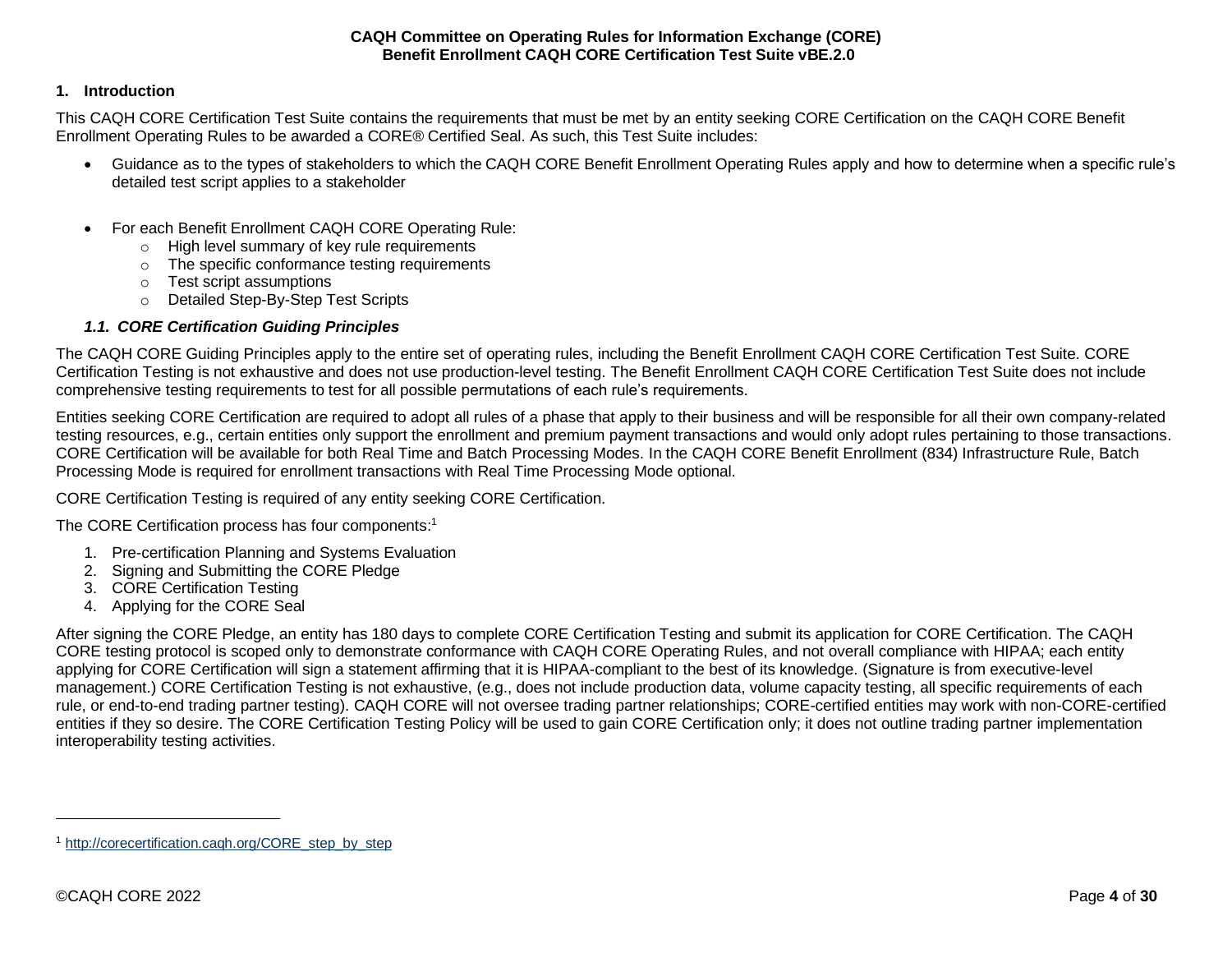# <span id="page-3-0"></span>**1. Introduction**

This CAQH CORE Certification Test Suite contains the requirements that must be met by an entity seeking CORE Certification on the CAQH CORE Benefit Enrollment Operating Rules to be awarded a CORE® Certified Seal. As such, this Test Suite includes:

- Guidance as to the types of stakeholders to which the CAQH CORE Benefit Enrollment Operating Rules apply and how to determine when a specific rule's detailed test script applies to a stakeholder
- For each Benefit Enrollment CAQH CORE Operating Rule:
	- o High level summary of key rule requirements
	- o The specific conformance testing requirements
	- o Test script assumptions
	- o Detailed Step-By-Step Test Scripts

# *1.1. CORE Certification Guiding Principles*

<span id="page-3-1"></span>The CAQH CORE Guiding Principles apply to the entire set of operating rules, including the Benefit Enrollment CAQH CORE Certification Test Suite. CORE Certification Testing is not exhaustive and does not use production-level testing. The Benefit Enrollment CAQH CORE Certification Test Suite does not include comprehensive testing requirements to test for all possible permutations of each rule's requirements.

Entities seeking CORE Certification are required to adopt all rules of a phase that apply to their business and will be responsible for all their own company-related testing resources, e.g., certain entities only support the enrollment and premium payment transactions and would only adopt rules pertaining to those transactions. CORE Certification will be available for both Real Time and Batch Processing Modes. In the CAQH CORE Benefit Enrollment (834) Infrastructure Rule, Batch Processing Mode is required for enrollment transactions with Real Time Processing Mode optional.

CORE Certification Testing is required of any entity seeking CORE Certification.

The CORE Certification process has four components: 1

- 1. Pre-certification Planning and Systems Evaluation
- 2. Signing and Submitting the CORE Pledge
- 3. CORE Certification Testing
- 4. Applying for the CORE Seal

After signing the CORE Pledge, an entity has 180 days to complete CORE Certification Testing and submit its application for CORE Certification. The CAQH CORE testing protocol is scoped only to demonstrate conformance with CAQH CORE Operating Rules, and not overall compliance with HIPAA; each entity applying for CORE Certification will sign a statement affirming that it is HIPAA-compliant to the best of its knowledge. (Signature is from executive-level management.) CORE Certification Testing is not exhaustive, (e.g., does not include production data, volume capacity testing, all specific requirements of each rule, or end-to-end trading partner testing). CAQH CORE will not oversee trading partner relationships; CORE-certified entities may work with non-CORE-certified entities if they so desire. The CORE Certification Testing Policy will be used to gain CORE Certification only; it does not outline trading partner implementation interoperability testing activities.

<sup>1</sup> [http://corecertification.caqh.org/CORE\\_step\\_by\\_step](http://corecertification.caqh.org/CORE_step_by_step)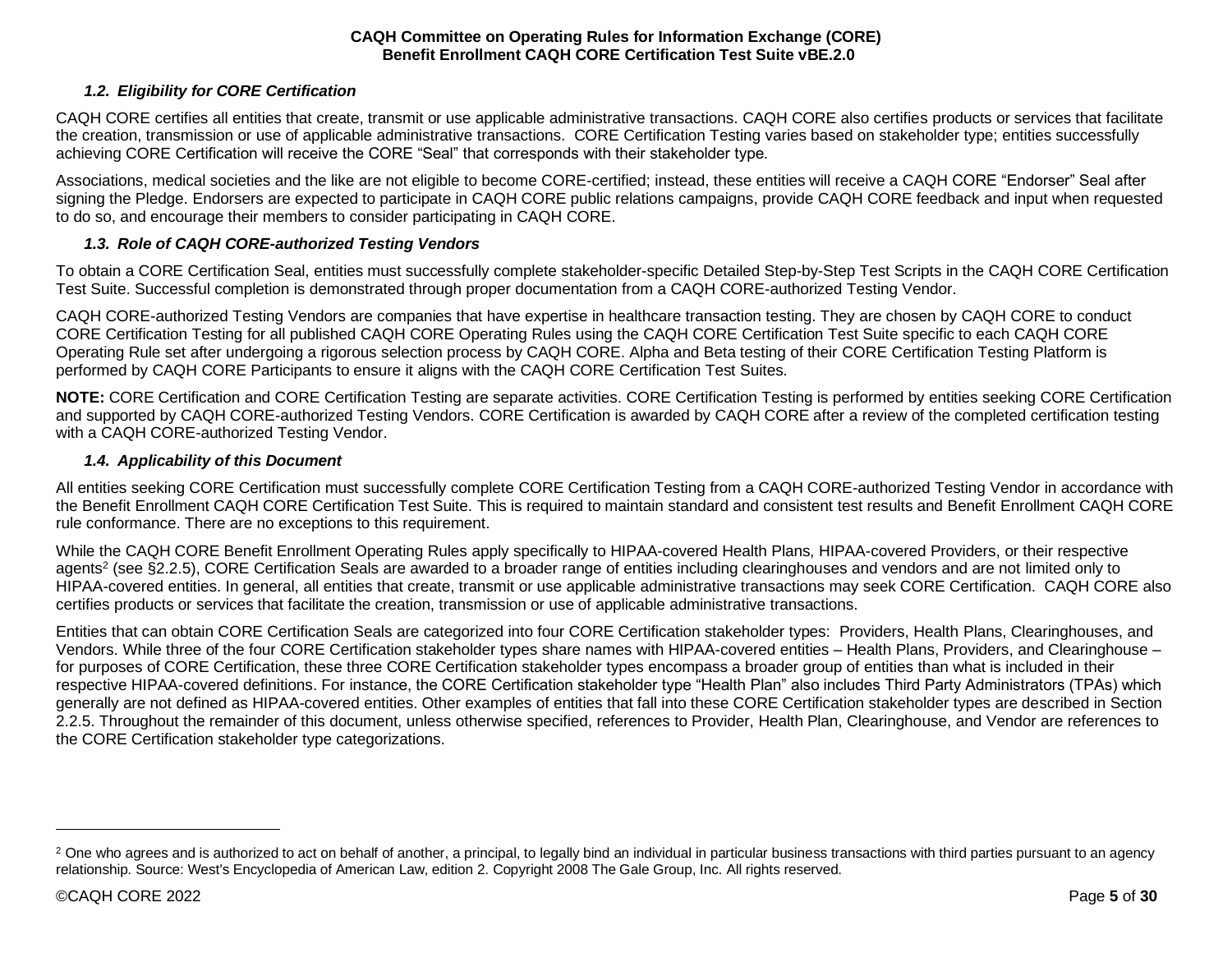# *1.2. Eligibility for CORE Certification*

<span id="page-4-0"></span>CAQH CORE certifies all entities that create, transmit or use applicable administrative transactions. CAQH CORE also certifies products or services that facilitate the creation, transmission or use of applicable administrative transactions. CORE Certification Testing varies based on stakeholder type; entities successfully achieving CORE Certification will receive the CORE "Seal" that corresponds with their stakeholder type.

Associations, medical societies and the like are not eligible to become CORE-certified; instead, these entities will receive a CAQH CORE "Endorser" Seal after signing the Pledge. Endorsers are expected to participate in CAQH CORE public relations campaigns, provide CAQH CORE feedback and input when requested to do so, and encourage their members to consider participating in CAQH CORE.

#### *1.3. Role of CAQH CORE-authorized Testing Vendors*

<span id="page-4-1"></span>To obtain a CORE Certification Seal, entities must successfully complete stakeholder-specific Detailed Step-by-Step Test Scripts in the CAQH CORE Certification Test Suite. Successful completion is demonstrated through proper documentation from a CAQH CORE-authorized Testing Vendor.

CAQH CORE-authorized Testing Vendors are companies that have expertise in healthcare transaction testing. They are chosen by CAQH CORE to conduct CORE Certification Testing for all published CAQH CORE Operating Rules using the CAQH CORE Certification Test Suite specific to each CAQH CORE Operating Rule set after undergoing a rigorous selection process by CAQH CORE. Alpha and Beta testing of their CORE Certification Testing Platform is performed by CAQH CORE Participants to ensure it aligns with the CAQH CORE Certification Test Suites.

**NOTE:** CORE Certification and CORE Certification Testing are separate activities. CORE Certification Testing is performed by entities seeking CORE Certification and supported by CAQH CORE-authorized Testing Vendors. CORE Certification is awarded by CAQH CORE after a review of the completed certification testing with a CAQH CORE-authorized Testing Vendor.

#### *1.4. Applicability of this Document*

<span id="page-4-2"></span>All entities seeking CORE Certification must successfully complete CORE Certification Testing from a CAQH CORE-authorized Testing Vendor in accordance with the Benefit Enrollment CAQH CORE Certification Test Suite. This is required to maintain standard and consistent test results and Benefit Enrollment CAQH CORE rule conformance. There are no exceptions to this requirement.

While the CAQH CORE Benefit Enrollment Operating Rules apply specifically to HIPAA-covered Health Plans, HIPAA-covered Providers, or their respective agents<sup>2</sup> (see §2.2.5), CORE Certification Seals are awarded to a broader range of entities including clearinghouses and vendors and are not limited only to HIPAA-covered entities. In general, all entities that create, transmit or use applicable administrative transactions may seek CORE Certification. CAQH CORE also certifies products or services that facilitate the creation, transmission or use of applicable administrative transactions.

Entities that can obtain CORE Certification Seals are categorized into four CORE Certification stakeholder types: Providers, Health Plans, Clearinghouses, and Vendors. While three of the four CORE Certification stakeholder types share names with HIPAA-covered entities – Health Plans, Providers, and Clearinghouse – for purposes of CORE Certification, these three CORE Certification stakeholder types encompass a broader group of entities than what is included in their respective HIPAA-covered definitions. For instance, the CORE Certification stakeholder type "Health Plan" also includes Third Party Administrators (TPAs) which generally are not defined as HIPAA-covered entities. Other examples of entities that fall into these CORE Certification stakeholder types are described in Section 2.2.5. Throughout the remainder of this document, unless otherwise specified, references to Provider, Health Plan, Clearinghouse, and Vendor are references to the CORE Certification stakeholder type categorizations.

<sup>&</sup>lt;sup>2</sup> One who agrees and is authorized to act on behalf of another, a principal, to legally bind an individual in particular business transactions with third parties pursuant to an agency relationship. Source: West's Encyclopedia of American Law, edition 2. Copyright 2008 The Gale Group, Inc. All rights reserved.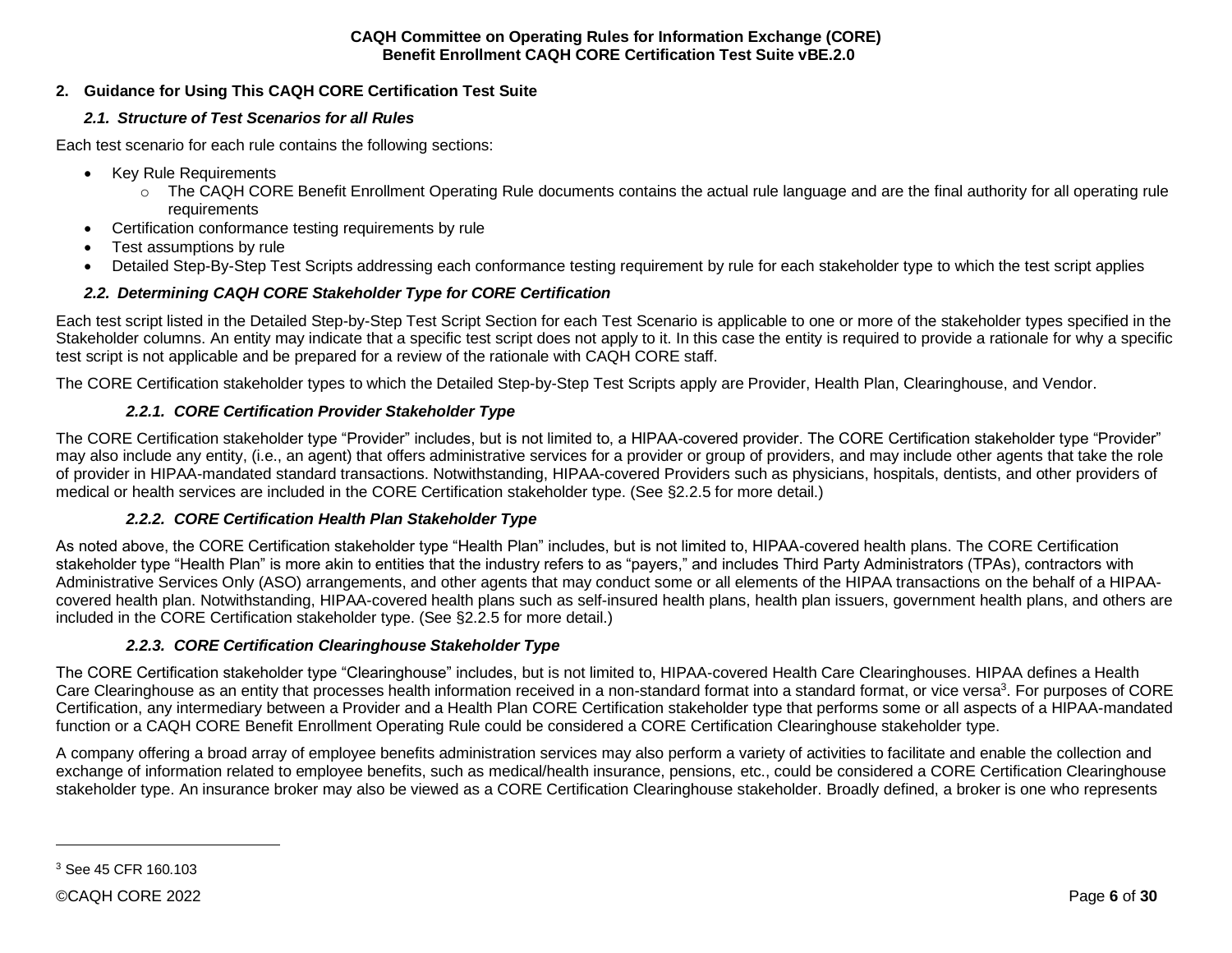# <span id="page-5-1"></span><span id="page-5-0"></span>**2. Guidance for Using This CAQH CORE Certification Test Suite**

# *2.1. Structure of Test Scenarios for all Rules*

Each test scenario for each rule contains the following sections:

- Key Rule Requirements
	- o The CAQH CORE Benefit Enrollment Operating Rule documents contains the actual rule language and are the final authority for all operating rule **requirements**
- Certification conformance testing requirements by rule
- Test assumptions by rule
- Detailed Step-By-Step Test Scripts addressing each conformance testing requirement by rule for each stakeholder type to which the test script applies

# *2.2. Determining CAQH CORE Stakeholder Type for CORE Certification*

<span id="page-5-2"></span>Each test script listed in the Detailed Step-by-Step Test Script Section for each Test Scenario is applicable to one or more of the stakeholder types specified in the Stakeholder columns. An entity may indicate that a specific test script does not apply to it. In this case the entity is required to provide a rationale for why a specific test script is not applicable and be prepared for a review of the rationale with CAQH CORE staff.

The CORE Certification stakeholder types to which the Detailed Step-by-Step Test Scripts apply are Provider, Health Plan, Clearinghouse, and Vendor.

# <span id="page-5-3"></span>*2.2.1. CORE Certification Provider Stakeholder Type*

The CORE Certification stakeholder type "Provider" includes, but is not limited to, a HIPAA-covered provider. The CORE Certification stakeholder type "Provider" may also include any entity, (i.e., an agent) that offers administrative services for a provider or group of providers, and may include other agents that take the role of provider in HIPAA-mandated standard transactions. Notwithstanding, HIPAA-covered Providers such as physicians, hospitals, dentists, and other providers of medical or health services are included in the CORE Certification stakeholder type. (See §2.2.5 for more detail.)

# <span id="page-5-4"></span>*2.2.2. CORE Certification Health Plan Stakeholder Type*

As noted above, the CORE Certification stakeholder type "Health Plan" includes, but is not limited to, HIPAA-covered health plans. The CORE Certification stakeholder type "Health Plan" is more akin to entities that the industry refers to as "payers," and includes Third Party Administrators (TPAs), contractors with Administrative Services Only (ASO) arrangements, and other agents that may conduct some or all elements of the HIPAA transactions on the behalf of a HIPAAcovered health plan. Notwithstanding, HIPAA-covered health plans such as self-insured health plans, health plan issuers, government health plans, and others are included in the CORE Certification stakeholder type. (See §2.2.5 for more detail.)

# <span id="page-5-5"></span>*2.2.3. CORE Certification Clearinghouse Stakeholder Type*

The CORE Certification stakeholder type "Clearinghouse" includes, but is not limited to, HIPAA-covered Health Care Clearinghouses. HIPAA defines a Health Care Clearinghouse as an entity that processes health information received in a non-standard format into a standard format, or vice versa<sup>3</sup>. For purposes of CORE Certification, any intermediary between a Provider and a Health Plan CORE Certification stakeholder type that performs some or all aspects of a HIPAA-mandated function or a CAQH CORE Benefit Enrollment Operating Rule could be considered a CORE Certification Clearinghouse stakeholder type.

A company offering a broad array of employee benefits administration services may also perform a variety of activities to facilitate and enable the collection and exchange of information related to employee benefits, such as medical/health insurance, pensions, etc., could be considered a CORE Certification Clearinghouse stakeholder type. An insurance broker may also be viewed as a CORE Certification Clearinghouse stakeholder. Broadly defined, a broker is one who represents

<sup>3</sup> See 45 CFR 160.103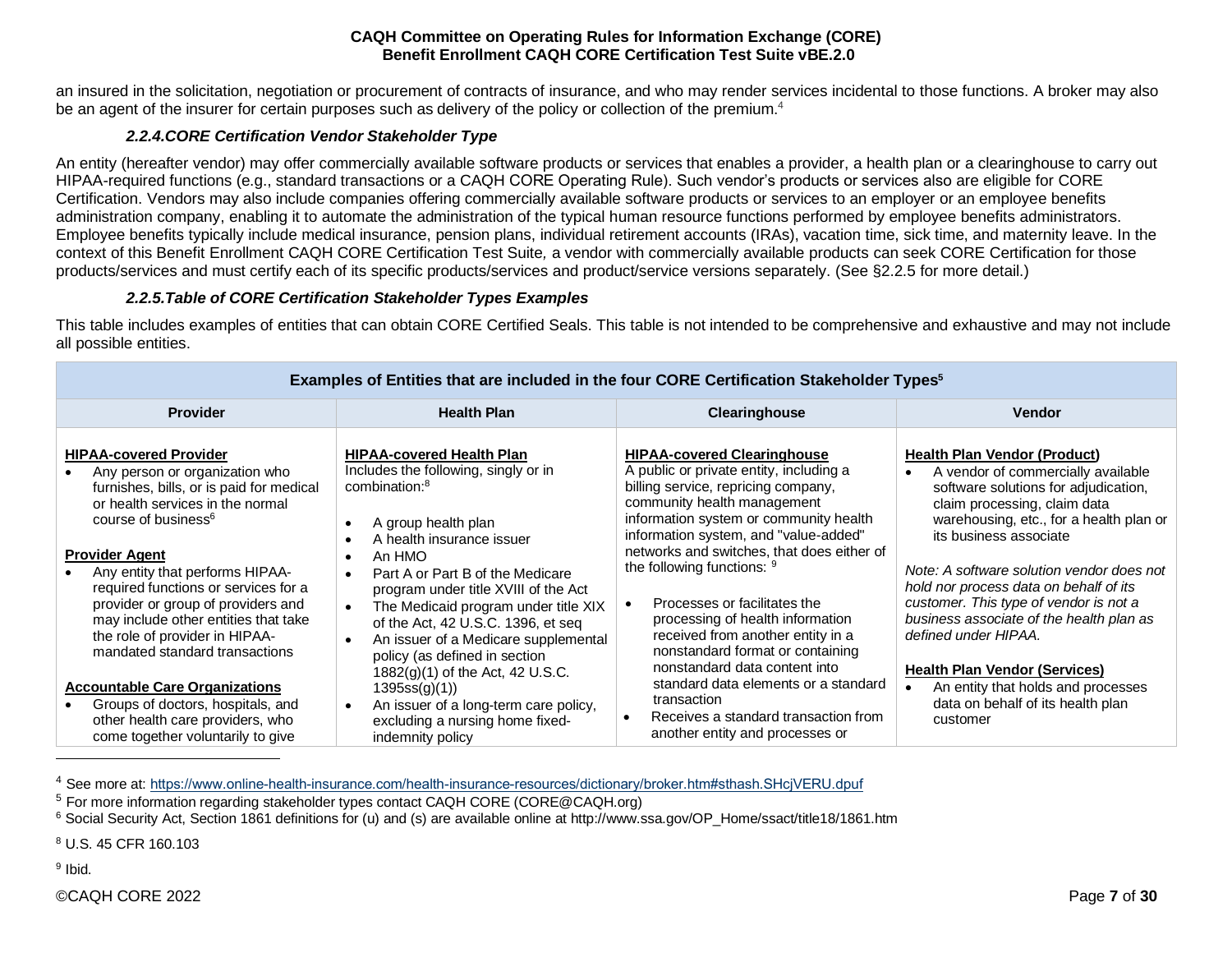an insured in the solicitation, negotiation or procurement of contracts of insurance, and who may render services incidental to those functions. A broker may also be an agent of the insurer for certain purposes such as delivery of the policy or collection of the premium.<sup>4</sup>

# *2.2.4.CORE Certification Vendor Stakeholder Type*

<span id="page-6-0"></span>An entity (hereafter vendor) may offer commercially available software products or services that enables a provider, a health plan or a clearinghouse to carry out HIPAA-required functions (e.g., standard transactions or a CAQH CORE Operating Rule). Such vendor's products or services also are eligible for CORE Certification. Vendors may also include companies offering commercially available software products or services to an employer or an employee benefits administration company, enabling it to automate the administration of the typical human resource functions performed by employee benefits administrators. Employee benefits typically include medical insurance, pension plans, individual retirement accounts (IRAs), vacation time, sick time, and maternity leave. In the context of this Benefit Enrollment CAQH CORE Certification Test Suite*,* a vendor with commercially available products can seek CORE Certification for those products/services and must certify each of its specific products/services and product/service versions separately. (See §2.2.5 for more detail.)

#### *2.2.5.Table of CORE Certification Stakeholder Types Examples*

<span id="page-6-1"></span>This table includes examples of entities that can obtain CORE Certified Seals. This table is not intended to be comprehensive and exhaustive and may not include all possible entities.

|                                                                                                                                                                                                                                                                                                                                                                                                                                          | Examples of Entitles that are included in the four CORE Certification Stakeholder Types <sup>3</sup>                                                                                                                                                                                                                                                                                                                                                                                                          |                                                                                                                                                                                                                                                                                                                                                                                                                                                                                                               |                                                                                                                                                                                                                                                                                                                                                                                                                                                                     |
|------------------------------------------------------------------------------------------------------------------------------------------------------------------------------------------------------------------------------------------------------------------------------------------------------------------------------------------------------------------------------------------------------------------------------------------|---------------------------------------------------------------------------------------------------------------------------------------------------------------------------------------------------------------------------------------------------------------------------------------------------------------------------------------------------------------------------------------------------------------------------------------------------------------------------------------------------------------|---------------------------------------------------------------------------------------------------------------------------------------------------------------------------------------------------------------------------------------------------------------------------------------------------------------------------------------------------------------------------------------------------------------------------------------------------------------------------------------------------------------|---------------------------------------------------------------------------------------------------------------------------------------------------------------------------------------------------------------------------------------------------------------------------------------------------------------------------------------------------------------------------------------------------------------------------------------------------------------------|
| <b>Provider</b>                                                                                                                                                                                                                                                                                                                                                                                                                          | <b>Health Plan</b>                                                                                                                                                                                                                                                                                                                                                                                                                                                                                            | Clearinghouse                                                                                                                                                                                                                                                                                                                                                                                                                                                                                                 | <b>Vendor</b>                                                                                                                                                                                                                                                                                                                                                                                                                                                       |
| <b>HIPAA-covered Provider</b><br>Any person or organization who<br>furnishes, bills, or is paid for medical<br>or health services in the normal<br>course of business <sup>6</sup><br><b>Provider Agent</b><br>Any entity that performs HIPAA-<br>required functions or services for a<br>provider or group of providers and<br>may include other entities that take<br>the role of provider in HIPAA-<br>mandated standard transactions | <b>HIPAA-covered Health Plan</b><br>Includes the following, singly or in<br>combination: <sup>8</sup><br>A group health plan<br>$\bullet$<br>A health insurance issuer<br>An HMO<br>$\bullet$<br>Part A or Part B of the Medicare<br>$\bullet$<br>program under title XVIII of the Act<br>The Medicaid program under title XIX<br>$\bullet$<br>of the Act, 42 U.S.C. 1396, et seq<br>An issuer of a Medicare supplemental<br>$\bullet$<br>policy (as defined in section<br>$1882(g)(1)$ of the Act, 42 U.S.C. | <b>HIPAA-covered Clearinghouse</b><br>A public or private entity, including a<br>billing service, repricing company,<br>community health management<br>information system or community health<br>information system, and "value-added"<br>networks and switches, that does either of<br>the following functions: 9<br>Processes or facilitates the<br>$\bullet$<br>processing of health information<br>received from another entity in a<br>nonstandard format or containing<br>nonstandard data content into | <b>Health Plan Vendor (Product)</b><br>A vendor of commercially available<br>software solutions for adjudication,<br>claim processing, claim data<br>warehousing, etc., for a health plan or<br>its business associate<br>Note: A software solution vendor does not<br>hold nor process data on behalf of its<br>customer. This type of vendor is not a<br>business associate of the health plan as<br>defined under HIPAA.<br><b>Health Plan Vendor (Services)</b> |
| <b>Accountable Care Organizations</b><br>Groups of doctors, hospitals, and<br>other health care providers, who<br>come together voluntarily to give                                                                                                                                                                                                                                                                                      | 1395ss(g)(1)<br>An issuer of a long-term care policy,<br>$\bullet$<br>excluding a nursing home fixed-<br>indemnity policy                                                                                                                                                                                                                                                                                                                                                                                     | standard data elements or a standard<br>transaction<br>Receives a standard transaction from<br>another entity and processes or                                                                                                                                                                                                                                                                                                                                                                                | An entity that holds and processes<br>data on behalf of its health plan<br>customer                                                                                                                                                                                                                                                                                                                                                                                 |

# **Examples of Entities that are included in the four CORE Certification Stakeholder Types<sup>5</sup>**

<sup>8</sup> U.S. 45 CFR 160.103

<sup>9</sup> Ibid.

<sup>4</sup> See more at:<https://www.online-health-insurance.com/health-insurance-resources/dictionary/broker.htm#sthash.SHcjVERU.dpuf>

<sup>5</sup> For more information regarding stakeholder types contact CAQH CORE (CORE@CAQH.org)

<sup>&</sup>lt;sup>6</sup> Social Security Act, Section 1861 definitions for (u) and (s) are available online at http://www.ssa.gov/OP\_Home/ssact/title18/1861.htm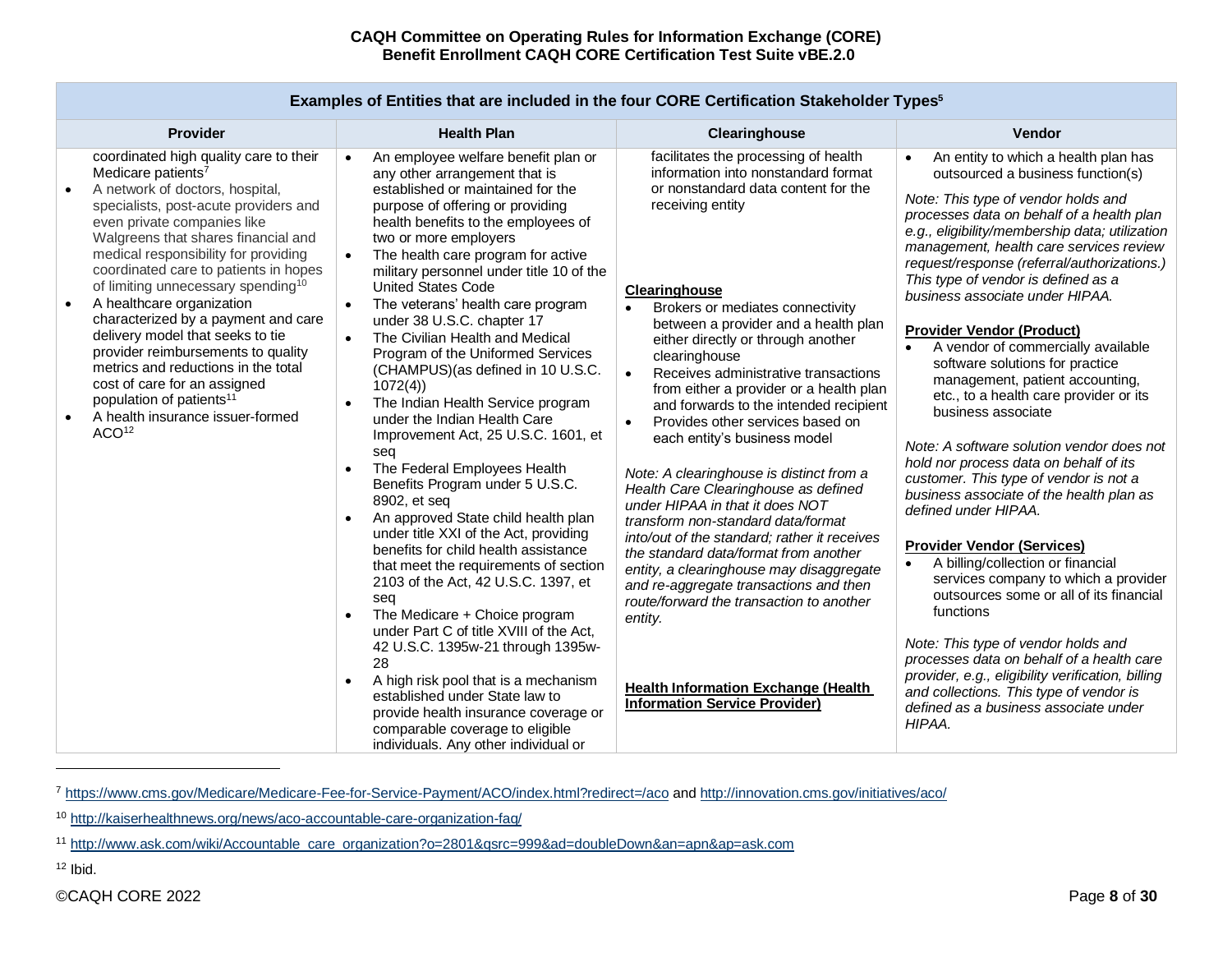| Provider                                                                                                                                                                                                                                                                                                                                                                                                                                                                                                                                                                                                                                                                                                                   | <b>Health Plan</b>                                                                                                                                                                                                                                                                                                                                                                                                                                                                                                                                                                                                                                                                                                                                                                                                                                                                                                                                                                                                                                                                                                                                                                                                                                                                                       | Clearinghouse                                                                                                                                                                                                                                                                                                                                                                                                                                                                                                                                                                                                                                                                                                                                                                                                                                                                                                                                                                                                  | Vendor                                                                                                                                                                                                                                                                                                                                                                                                                                                                                                                                                                                                                                                                                                                                                                                                                                                                                                                                                                                                                                                                                                                                                                                                                                                           |
|----------------------------------------------------------------------------------------------------------------------------------------------------------------------------------------------------------------------------------------------------------------------------------------------------------------------------------------------------------------------------------------------------------------------------------------------------------------------------------------------------------------------------------------------------------------------------------------------------------------------------------------------------------------------------------------------------------------------------|----------------------------------------------------------------------------------------------------------------------------------------------------------------------------------------------------------------------------------------------------------------------------------------------------------------------------------------------------------------------------------------------------------------------------------------------------------------------------------------------------------------------------------------------------------------------------------------------------------------------------------------------------------------------------------------------------------------------------------------------------------------------------------------------------------------------------------------------------------------------------------------------------------------------------------------------------------------------------------------------------------------------------------------------------------------------------------------------------------------------------------------------------------------------------------------------------------------------------------------------------------------------------------------------------------|----------------------------------------------------------------------------------------------------------------------------------------------------------------------------------------------------------------------------------------------------------------------------------------------------------------------------------------------------------------------------------------------------------------------------------------------------------------------------------------------------------------------------------------------------------------------------------------------------------------------------------------------------------------------------------------------------------------------------------------------------------------------------------------------------------------------------------------------------------------------------------------------------------------------------------------------------------------------------------------------------------------|------------------------------------------------------------------------------------------------------------------------------------------------------------------------------------------------------------------------------------------------------------------------------------------------------------------------------------------------------------------------------------------------------------------------------------------------------------------------------------------------------------------------------------------------------------------------------------------------------------------------------------------------------------------------------------------------------------------------------------------------------------------------------------------------------------------------------------------------------------------------------------------------------------------------------------------------------------------------------------------------------------------------------------------------------------------------------------------------------------------------------------------------------------------------------------------------------------------------------------------------------------------|
| coordinated high quality care to their<br>Medicare patients <sup>7</sup><br>A network of doctors, hospital,<br>$\bullet$<br>specialists, post-acute providers and<br>even private companies like<br>Walgreens that shares financial and<br>medical responsibility for providing<br>coordinated care to patients in hopes<br>of limiting unnecessary spending <sup>10</sup><br>A healthcare organization<br>$\bullet$<br>characterized by a payment and care<br>delivery model that seeks to tie<br>provider reimbursements to quality<br>metrics and reductions in the total<br>cost of care for an assigned<br>population of patients <sup>11</sup><br>A health insurance issuer-formed<br>$\bullet$<br>ACO <sup>12</sup> | An employee welfare benefit plan or<br>$\bullet$<br>any other arrangement that is<br>established or maintained for the<br>purpose of offering or providing<br>health benefits to the employees of<br>two or more employers<br>The health care program for active<br>$\bullet$<br>military personnel under title 10 of the<br><b>United States Code</b><br>The veterans' health care program<br>under 38 U.S.C. chapter 17<br>The Civilian Health and Medical<br>$\bullet$<br>Program of the Uniformed Services<br>(CHAMPUS) (as defined in 10 U.S.C.<br>1072(4)<br>The Indian Health Service program<br>under the Indian Health Care<br>Improvement Act, 25 U.S.C. 1601, et<br>seq<br>The Federal Employees Health<br>Benefits Program under 5 U.S.C.<br>8902, et seq<br>An approved State child health plan<br>under title XXI of the Act, providing<br>benefits for child health assistance<br>that meet the requirements of section<br>2103 of the Act, 42 U.S.C. 1397, et<br>seq<br>The Medicare + Choice program<br>under Part C of title XVIII of the Act,<br>42 U.S.C. 1395w-21 through 1395w-<br>28<br>A high risk pool that is a mechanism<br>established under State law to<br>provide health insurance coverage or<br>comparable coverage to eligible<br>individuals. Any other individual or | facilitates the processing of health<br>information into nonstandard format<br>or nonstandard data content for the<br>receiving entity<br>Clearinghouse<br>Brokers or mediates connectivity<br>between a provider and a health plan<br>either directly or through another<br>clearinghouse<br>$\bullet$<br>Receives administrative transactions<br>from either a provider or a health plan<br>and forwards to the intended recipient<br>Provides other services based on<br>$\bullet$<br>each entity's business model<br>Note: A clearinghouse is distinct from a<br>Health Care Clearinghouse as defined<br>under HIPAA in that it does NOT<br>transform non-standard data/format<br>into/out of the standard; rather it receives<br>the standard data/format from another<br>entity, a clearinghouse may disaggregate<br>and re-aggregate transactions and then<br>route/forward the transaction to another<br>entity.<br><b>Health Information Exchange (Health</b><br><b>Information Service Provider)</b> | An entity to which a health plan has<br>$\bullet$<br>outsourced a business function(s)<br>Note: This type of vendor holds and<br>processes data on behalf of a health plan<br>e.g., eligibility/membership data; utilization<br>management, health care services review<br>request/response (referral/authorizations.)<br>This type of vendor is defined as a<br>business associate under HIPAA.<br><b>Provider Vendor (Product)</b><br>A vendor of commercially available<br>$\bullet$<br>software solutions for practice<br>management, patient accounting,<br>etc., to a health care provider or its<br>business associate<br>Note: A software solution vendor does not<br>hold nor process data on behalf of its<br>customer. This type of vendor is not a<br>business associate of the health plan as<br>defined under HIPAA.<br><b>Provider Vendor (Services)</b><br>A billing/collection or financial<br>$\bullet$<br>services company to which a provider<br>outsources some or all of its financial<br>functions<br>Note: This type of vendor holds and<br>processes data on behalf of a health care<br>provider, e.g., eligibility verification, billing<br>and collections. This type of vendor is<br>defined as a business associate under<br>HIPAA. |

# **Examples of Entities that are included in the four CORE Certification Stakeholder Types<sup>5</sup>**

 $12$  Ibid.

<sup>7</sup> <https://www.cms.gov/Medicare/Medicare-Fee-for-Service-Payment/ACO/index.html?redirect=/aco> an[d http://innovation.cms.gov/initiatives/aco/](http://innovation.cms.gov/initiatives/aco/)

<sup>10</sup> <http://kaiserhealthnews.org/news/aco-accountable-care-organization-faq/>

<sup>11</sup> [http://www.ask.com/wiki/Accountable\\_care\\_organization?o=2801&qsrc=999&ad=doubleDown&an=apn&ap=ask.com](http://www.ask.com/wiki/Accountable_care_organization?o=2801&qsrc=999&ad=doubleDown&an=apn&ap=ask.com)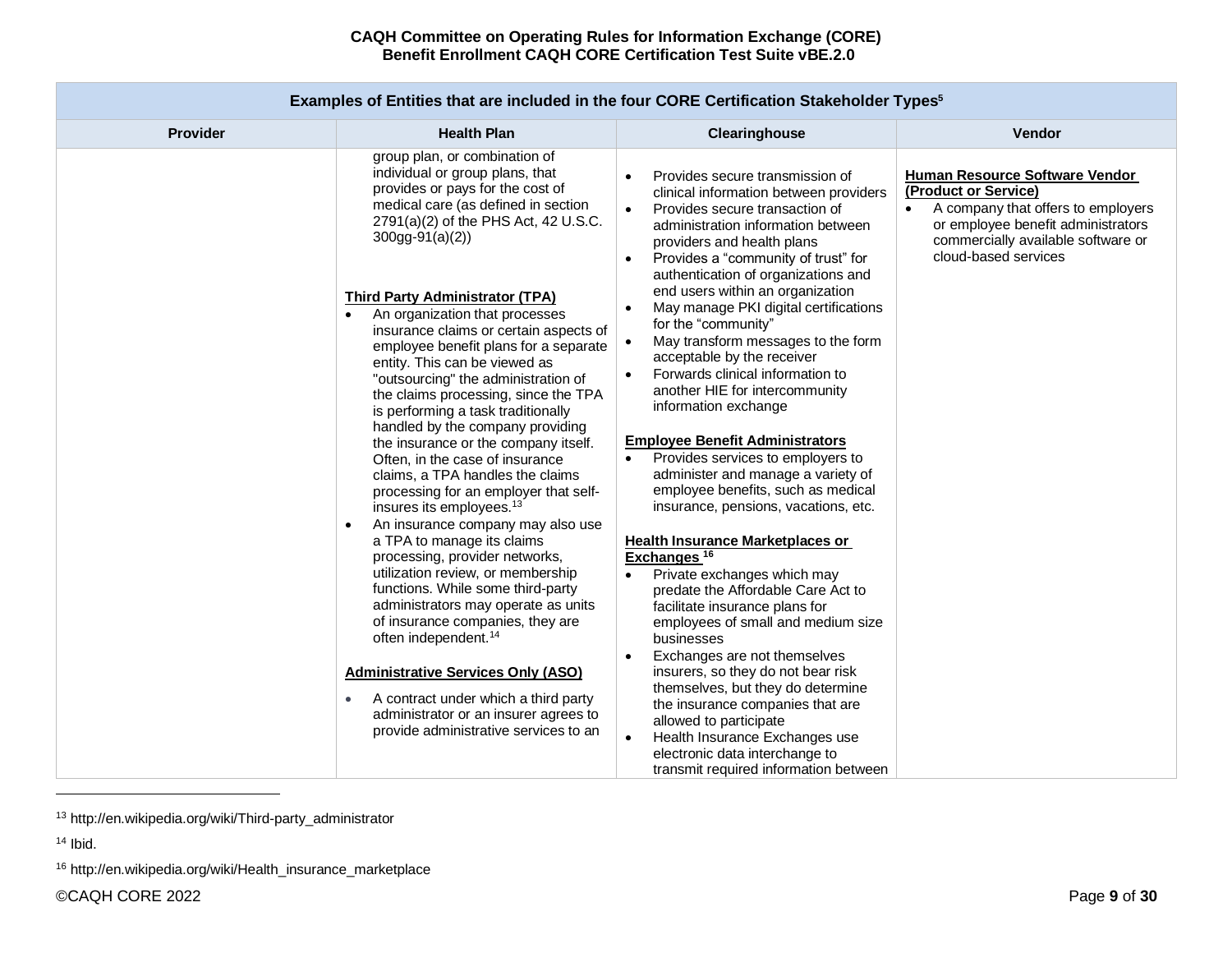|          |                                                                                                                                                                                                                                                                                                                                                                                                                                                                                                                                                                                                                                                     | Examples of Entities that are included in the four CORE Certification Stakeholder Types <sup>3</sup>                                                                                                                                                                                                                                                                                                                                                                                                                                                                                                                                                                                                   |                                                                                                                                                                                                         |
|----------|-----------------------------------------------------------------------------------------------------------------------------------------------------------------------------------------------------------------------------------------------------------------------------------------------------------------------------------------------------------------------------------------------------------------------------------------------------------------------------------------------------------------------------------------------------------------------------------------------------------------------------------------------------|--------------------------------------------------------------------------------------------------------------------------------------------------------------------------------------------------------------------------------------------------------------------------------------------------------------------------------------------------------------------------------------------------------------------------------------------------------------------------------------------------------------------------------------------------------------------------------------------------------------------------------------------------------------------------------------------------------|---------------------------------------------------------------------------------------------------------------------------------------------------------------------------------------------------------|
| Provider | <b>Health Plan</b>                                                                                                                                                                                                                                                                                                                                                                                                                                                                                                                                                                                                                                  | Clearinghouse                                                                                                                                                                                                                                                                                                                                                                                                                                                                                                                                                                                                                                                                                          | Vendor                                                                                                                                                                                                  |
|          | group plan, or combination of<br>individual or group plans, that<br>provides or pays for the cost of<br>medical care (as defined in section<br>2791(a)(2) of the PHS Act, 42 U.S.C.<br>$300gg-91(a)(2)$<br><b>Third Party Administrator (TPA)</b><br>An organization that processes<br>$\bullet$<br>insurance claims or certain aspects of<br>employee benefit plans for a separate<br>entity. This can be viewed as<br>"outsourcing" the administration of<br>the claims processing, since the TPA<br>is performing a task traditionally<br>handled by the company providing<br>the insurance or the company itself.                               | Provides secure transmission of<br>clinical information between providers<br>Provides secure transaction of<br>$\bullet$<br>administration information between<br>providers and health plans<br>Provides a "community of trust" for<br>$\bullet$<br>authentication of organizations and<br>end users within an organization<br>May manage PKI digital certifications<br>$\bullet$<br>for the "community"<br>May transform messages to the form<br>$\bullet$<br>acceptable by the receiver<br>Forwards clinical information to<br>$\bullet$<br>another HIE for intercommunity<br>information exchange<br><b>Employee Benefit Administrators</b>                                                         | <b>Human Resource Software Vendor</b><br>(Product or Service)<br>A company that offers to employers<br>or employee benefit administrators<br>commercially available software or<br>cloud-based services |
|          | Often, in the case of insurance<br>claims, a TPA handles the claims<br>processing for an employer that self-<br>insures its employees. <sup>13</sup><br>An insurance company may also use<br>$\bullet$<br>a TPA to manage its claims<br>processing, provider networks,<br>utilization review, or membership<br>functions. While some third-party<br>administrators may operate as units<br>of insurance companies, they are<br>often independent. <sup>14</sup><br><b>Administrative Services Only (ASO)</b><br>A contract under which a third party<br>$\bullet$<br>administrator or an insurer agrees to<br>provide administrative services to an | Provides services to employers to<br>administer and manage a variety of<br>employee benefits, such as medical<br>insurance, pensions, vacations, etc.<br><b>Health Insurance Marketplaces or</b><br>Exchanges <sup>16</sup><br>Private exchanges which may<br>predate the Affordable Care Act to<br>facilitate insurance plans for<br>employees of small and medium size<br>businesses<br>Exchanges are not themselves<br>$\bullet$<br>insurers, so they do not bear risk<br>themselves, but they do determine<br>the insurance companies that are<br>allowed to participate<br>Health Insurance Exchanges use<br>$\bullet$<br>electronic data interchange to<br>transmit required information between |                                                                                                                                                                                                         |

**Examples of Entities that are included in the four CORE Certification Stakeholder Types<sup>5</sup>**

<sup>13</sup> http://en.wikipedia.org/wiki/Third-party\_administrator

<sup>14</sup> Ibid.

<sup>16</sup> http://en.wikipedia.org/wiki/Health\_insurance\_marketplace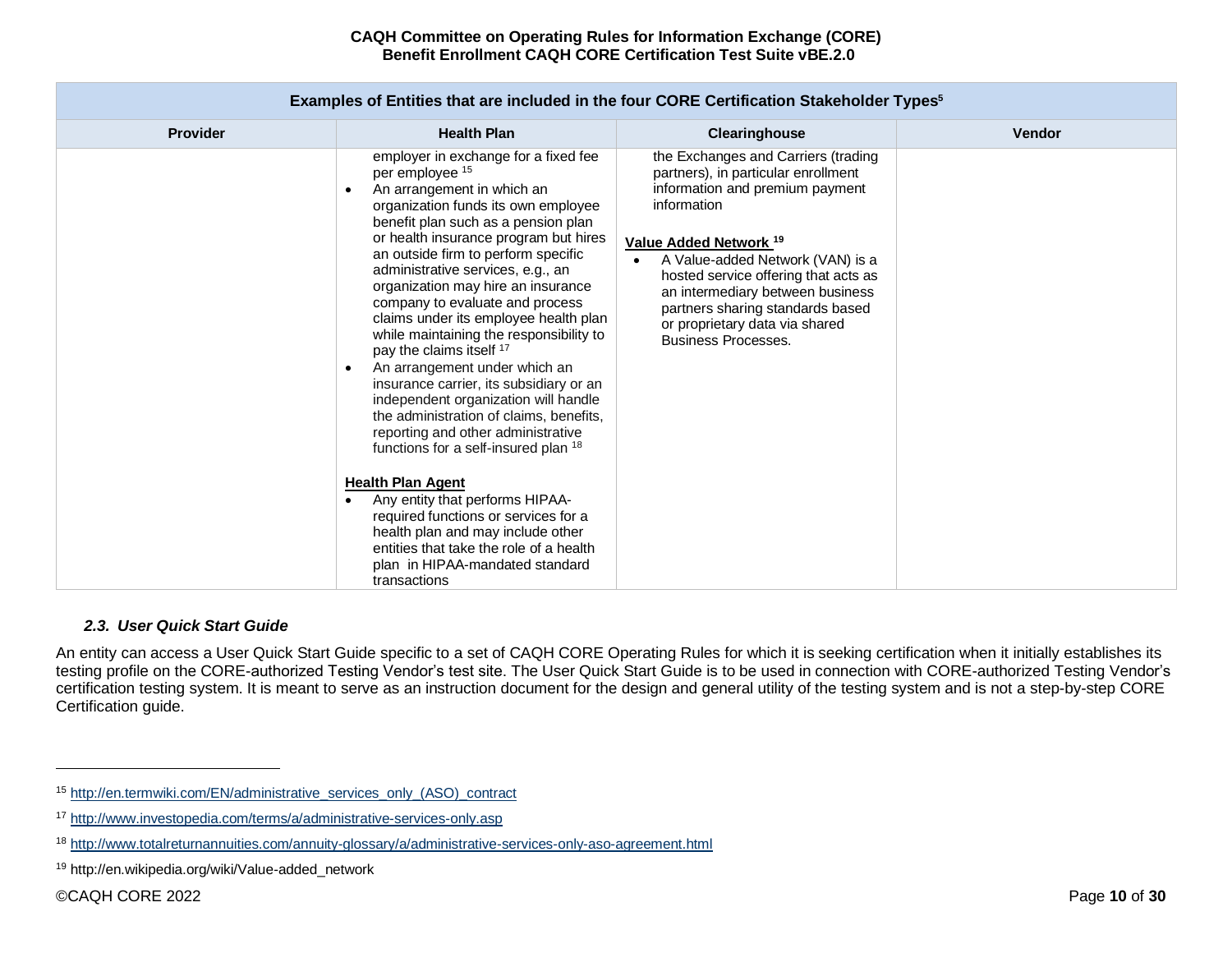| LAAMINICS OF LINNICS MALAIC MONUUCU IN MIC IOUI GOINL GCHINGUON GLANCHOIUCH TYPCS |                                                                                                                                                                                                                                                                                                                                                                                                                                                                                                                                                                                                                                                                                                                                                                                                                                                                                                                                                                                                    |                                                                                                                                                                                                                                                                                                                                                                                       |               |  |  |  |  |  |  |  |  |
|-----------------------------------------------------------------------------------|----------------------------------------------------------------------------------------------------------------------------------------------------------------------------------------------------------------------------------------------------------------------------------------------------------------------------------------------------------------------------------------------------------------------------------------------------------------------------------------------------------------------------------------------------------------------------------------------------------------------------------------------------------------------------------------------------------------------------------------------------------------------------------------------------------------------------------------------------------------------------------------------------------------------------------------------------------------------------------------------------|---------------------------------------------------------------------------------------------------------------------------------------------------------------------------------------------------------------------------------------------------------------------------------------------------------------------------------------------------------------------------------------|---------------|--|--|--|--|--|--|--|--|
| <b>Provider</b>                                                                   | <b>Health Plan</b>                                                                                                                                                                                                                                                                                                                                                                                                                                                                                                                                                                                                                                                                                                                                                                                                                                                                                                                                                                                 | Clearinghouse                                                                                                                                                                                                                                                                                                                                                                         | <b>Vendor</b> |  |  |  |  |  |  |  |  |
|                                                                                   | employer in exchange for a fixed fee<br>per employee 15<br>An arrangement in which an<br>$\bullet$<br>organization funds its own employee<br>benefit plan such as a pension plan<br>or health insurance program but hires<br>an outside firm to perform specific<br>administrative services, e.g., an<br>organization may hire an insurance<br>company to evaluate and process<br>claims under its employee health plan<br>while maintaining the responsibility to<br>pay the claims itself 17<br>An arrangement under which an<br>$\bullet$<br>insurance carrier, its subsidiary or an<br>independent organization will handle<br>the administration of claims, benefits,<br>reporting and other administrative<br>functions for a self-insured plan 18<br><b>Health Plan Agent</b><br>Any entity that performs HIPAA-<br>required functions or services for a<br>health plan and may include other<br>entities that take the role of a health<br>plan in HIPAA-mandated standard<br>transactions | the Exchanges and Carriers (trading<br>partners), in particular enrollment<br>information and premium payment<br>information<br>Value Added Network <sup>19</sup><br>A Value-added Network (VAN) is a<br>hosted service offering that acts as<br>an intermediary between business<br>partners sharing standards based<br>or proprietary data via shared<br><b>Business Processes.</b> |               |  |  |  |  |  |  |  |  |

# **Examples of Entities that are included in the four CORE Certification Stakeholder Types<sup>5</sup>**

#### *2.3. User Quick Start Guide*

<span id="page-9-0"></span>An entity can access a User Quick Start Guide specific to a set of CAQH CORE Operating Rules for which it is seeking certification when it initially establishes its testing profile on the CORE-authorized Testing Vendor's test site. The User Quick Start Guide is to be used in connection with CORE-authorized Testing Vendor's certification testing system. It is meant to serve as an instruction document for the design and general utility of the testing system and is not a step-by-step CORE Certification guide.

<sup>15</sup> [http://en.termwiki.com/EN/administrative\\_services\\_only\\_\(ASO\)\\_contract](http://en.termwiki.com/EN/administrative_services_only_(ASO)_contract)

<sup>17</sup> <http://www.investopedia.com/terms/a/administrative-services-only.asp>

<sup>18</sup> <http://www.totalreturnannuities.com/annuity-glossary/a/administrative-services-only-aso-agreement.html>

<sup>19</sup> http://en.wikipedia.org/wiki/Value-added\_network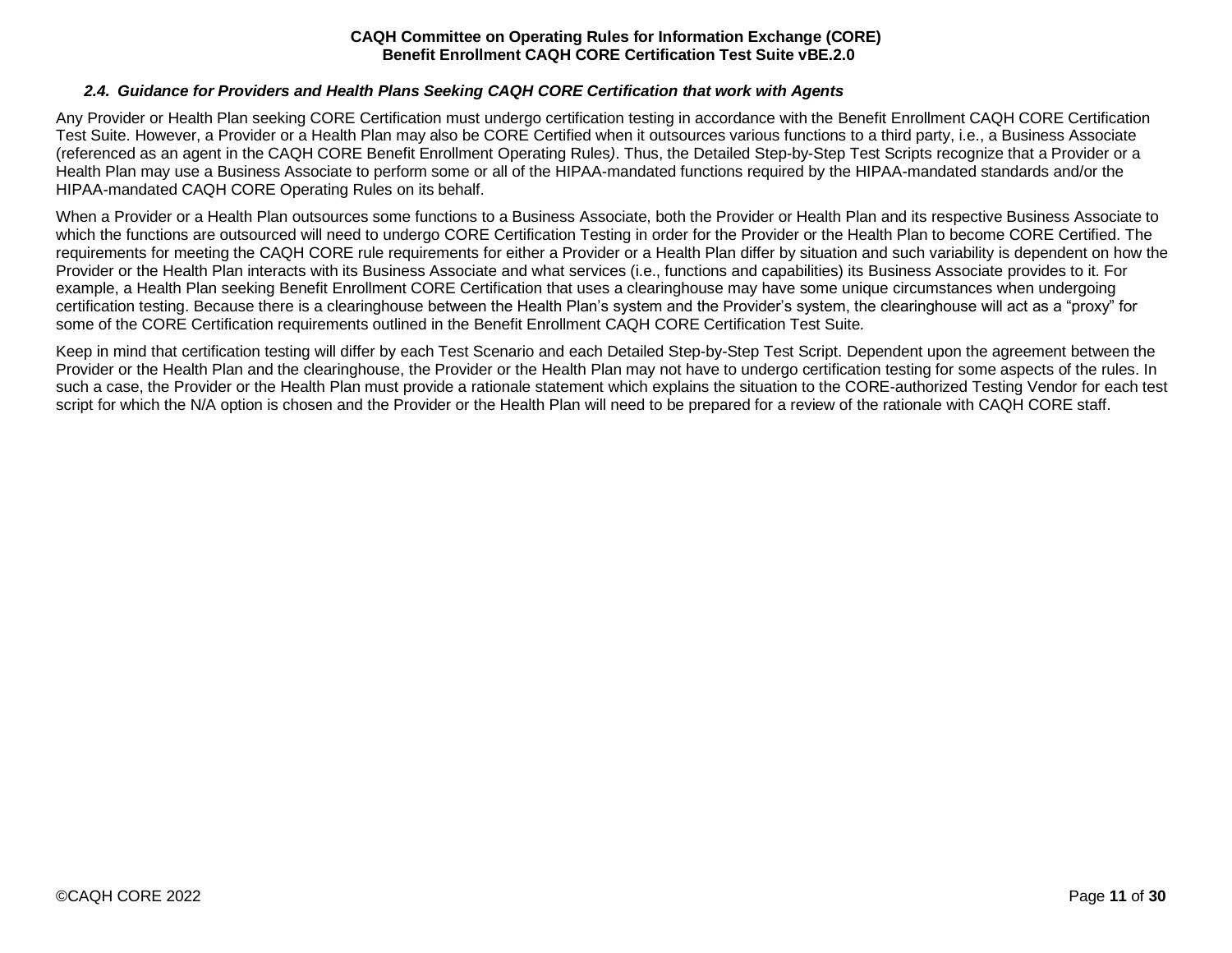### *2.4. Guidance for Providers and Health Plans Seeking CAQH CORE Certification that work with Agents*

<span id="page-10-0"></span>Any Provider or Health Plan seeking CORE Certification must undergo certification testing in accordance with the Benefit Enrollment CAQH CORE Certification Test Suite. However, a Provider or a Health Plan may also be CORE Certified when it outsources various functions to a third party, i.e., a Business Associate (referenced as an agent in the CAQH CORE Benefit Enrollment Operating Rules*)*. Thus, the Detailed Step-by-Step Test Scripts recognize that a Provider or a Health Plan may use a Business Associate to perform some or all of the HIPAA-mandated functions required by the HIPAA-mandated standards and/or the HIPAA-mandated CAQH CORE Operating Rules on its behalf.

When a Provider or a Health Plan outsources some functions to a Business Associate, both the Provider or Health Plan and its respective Business Associate to which the functions are outsourced will need to undergo CORE Certification Testing in order for the Provider or the Health Plan to become CORE Certified. The requirements for meeting the CAQH CORE rule requirements for either a Provider or a Health Plan differ by situation and such variability is dependent on how the Provider or the Health Plan interacts with its Business Associate and what services (i.e., functions and capabilities) its Business Associate provides to it. For example, a Health Plan seeking Benefit Enrollment CORE Certification that uses a clearinghouse may have some unique circumstances when undergoing certification testing. Because there is a clearinghouse between the Health Plan's system and the Provider's system, the clearinghouse will act as a "proxy" for some of the CORE Certification requirements outlined in the Benefit Enrollment CAQH CORE Certification Test Suite*.*

Keep in mind that certification testing will differ by each Test Scenario and each Detailed Step-by-Step Test Script. Dependent upon the agreement between the Provider or the Health Plan and the clearinghouse, the Provider or the Health Plan may not have to undergo certification testing for some aspects of the rules. In such a case, the Provider or the Health Plan must provide a rationale statement which explains the situation to the CORE-authorized Testing Vendor for each test script for which the N/A option is chosen and the Provider or the Health Plan will need to be prepared for a review of the rationale with CAQH CORE staff.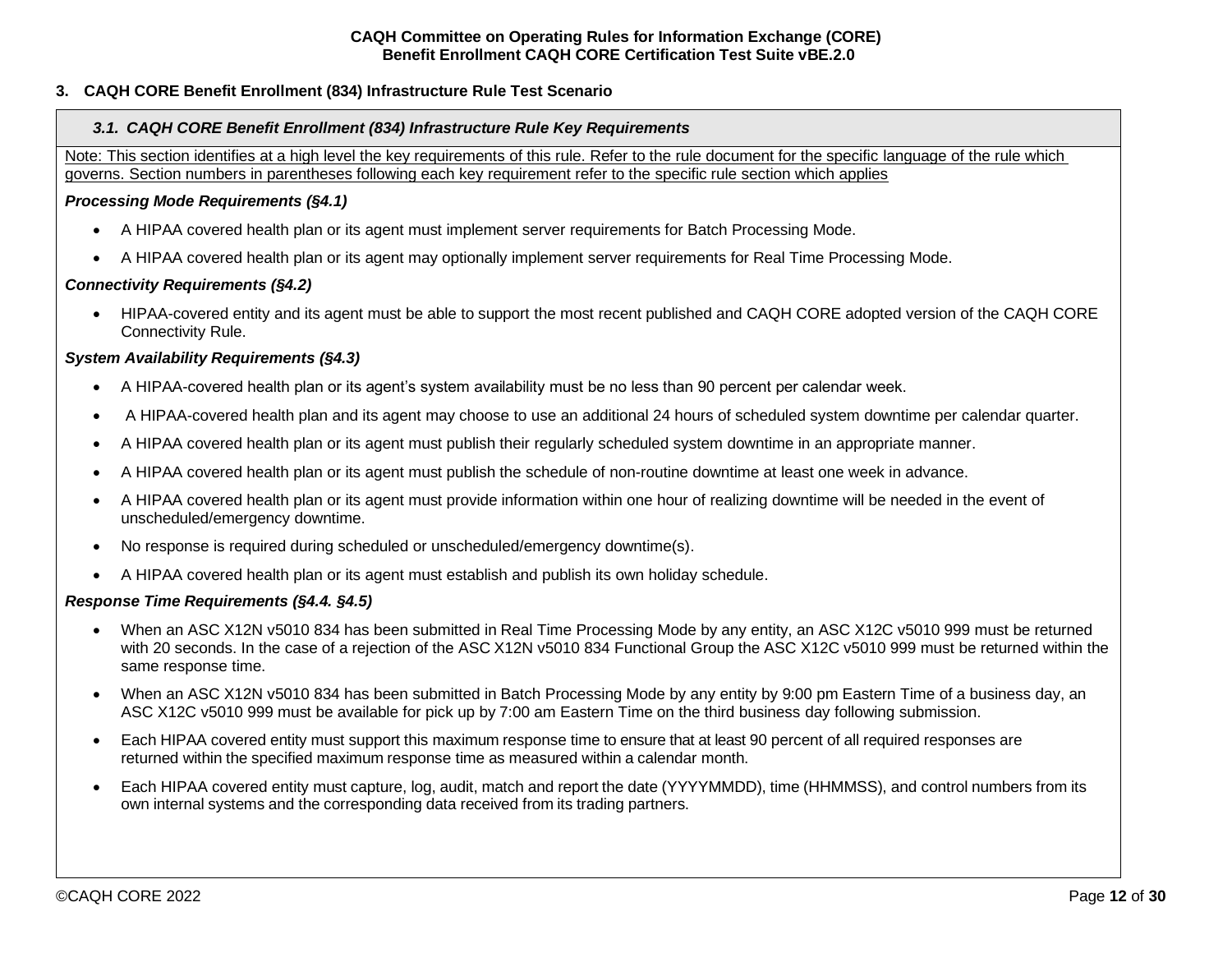# <span id="page-11-1"></span><span id="page-11-0"></span>**3. CAQH CORE Benefit Enrollment (834) Infrastructure Rule Test Scenario**

#### *3.1. CAQH CORE Benefit Enrollment (834) Infrastructure Rule Key Requirements*

Note: This section identifies at a high level the key requirements of this rule. Refer to the rule document for the specific language of the rule which governs. Section numbers in parentheses following each key requirement refer to the specific rule section which applies

#### *Processing Mode Requirements (§4.1)*

- A HIPAA covered health plan or its agent must implement server requirements for Batch Processing Mode.
- A HIPAA covered health plan or its agent may optionally implement server requirements for Real Time Processing Mode.

#### *Connectivity Requirements (§4.2)*

• HIPAA-covered entity and its agent must be able to support the most recent published and CAQH CORE adopted version of the CAQH CORE Connectivity Rule.

#### *System Availability Requirements (§4.3)*

- A HIPAA-covered health plan or its agent's system availability must be no less than 90 percent per calendar week.
- A HIPAA-covered health plan and its agent may choose to use an additional 24 hours of scheduled system downtime per calendar quarter.
- A HIPAA covered health plan or its agent must publish their regularly scheduled system downtime in an appropriate manner.
- A HIPAA covered health plan or its agent must publish the schedule of non-routine downtime at least one week in advance.
- A HIPAA covered health plan or its agent must provide information within one hour of realizing downtime will be needed in the event of unscheduled/emergency downtime.
- No response is required during scheduled or unscheduled/emergency downtime(s).
- A HIPAA covered health plan or its agent must establish and publish its own holiday schedule.

#### *Response Time Requirements (§4.4. §4.5)*

- When an ASC X12N v5010 834 has been submitted in Real Time Processing Mode by any entity, an ASC X12C v5010 999 must be returned with 20 seconds. In the case of a rejection of the ASC X12N v5010 834 Functional Group the ASC X12C v5010 999 must be returned within the same response time.
- When an ASC X12N v5010 834 has been submitted in Batch Processing Mode by any entity by 9:00 pm Eastern Time of a business day, an ASC X12C v5010 999 must be available for pick up by 7:00 am Eastern Time on the third business day following submission.
- Each HIPAA covered entity must support this maximum response time to ensure that at least 90 percent of all required responses are returned within the specified maximum response time as measured within a calendar month.
- Each HIPAA covered entity must capture, log, audit, match and report the date (YYYYMMDD), time (HHMMSS), and control numbers from its own internal systems and the corresponding data received from its trading partners.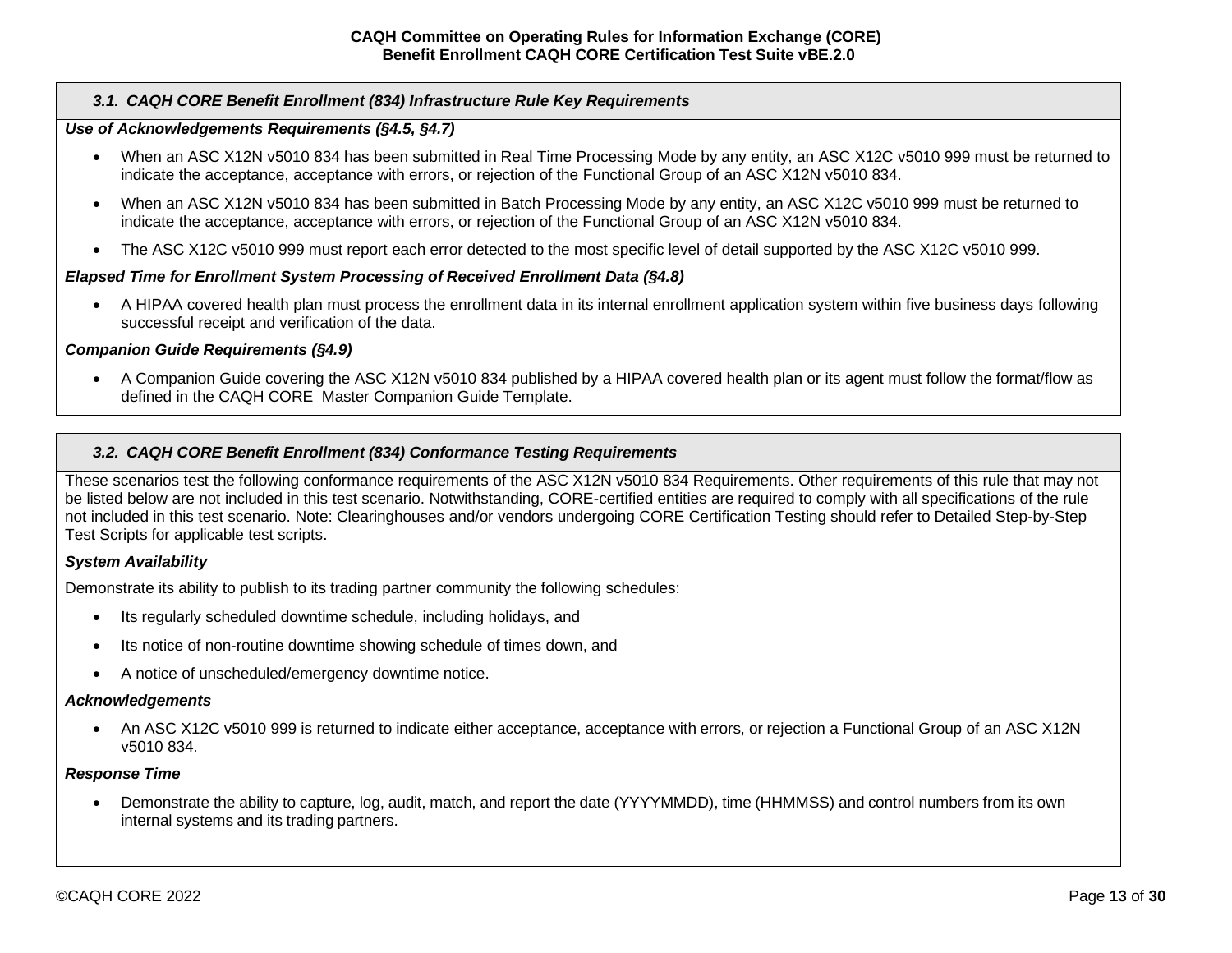### *3.1. CAQH CORE Benefit Enrollment (834) Infrastructure Rule Key Requirements*

#### *Use of Acknowledgements Requirements (§4.5, §4.7)*

- When an ASC X12N v5010 834 has been submitted in Real Time Processing Mode by any entity, an ASC X12C v5010 999 must be returned to indicate the acceptance, acceptance with errors, or rejection of the Functional Group of an ASC X12N v5010 834.
- When an ASC X12N v5010 834 has been submitted in Batch Processing Mode by any entity, an ASC X12C v5010 999 must be returned to indicate the acceptance, acceptance with errors, or rejection of the Functional Group of an ASC X12N v5010 834.
- The ASC X12C v5010 999 must report each error detected to the most specific level of detail supported by the ASC X12C v5010 999.

#### *Elapsed Time for Enrollment System Processing of Received Enrollment Data (§4.8)*

• A HIPAA covered health plan must process the enrollment data in its internal enrollment application system within five business days following successful receipt and verification of the data.

#### *Companion Guide Requirements (§4.9)*

• A Companion Guide covering the ASC X12N v5010 834 published by a HIPAA covered health plan or its agent must follow the format/flow as defined in the CAQH CORE Master Companion Guide Template.

#### <span id="page-12-0"></span>*3.2. CAQH CORE Benefit Enrollment (834) Conformance Testing Requirements*

These scenarios test the following conformance requirements of the ASC X12N v5010 834 Requirements. Other requirements of this rule that may not be listed below are not included in this test scenario. Notwithstanding, CORE-certified entities are required to comply with all specifications of the rule not included in this test scenario. Note: Clearinghouses and/or vendors undergoing CORE Certification Testing should refer to Detailed Step-by-Step Test Scripts for applicable test scripts.

#### *System Availability*

Demonstrate its ability to publish to its trading partner community the following schedules:

- Its regularly scheduled downtime schedule, including holidays, and
- Its notice of non-routine downtime showing schedule of times down, and
- A notice of unscheduled/emergency downtime notice.

#### *Acknowledgements*

• An ASC X12C v5010 999 is returned to indicate either acceptance, acceptance with errors, or rejection a Functional Group of an ASC X12N v5010 834.

#### *Response Time*

• Demonstrate the ability to capture, log, audit, match, and report the date (YYYYMMDD), time (HHMMSS) and control numbers from its own internal systems and its trading partners.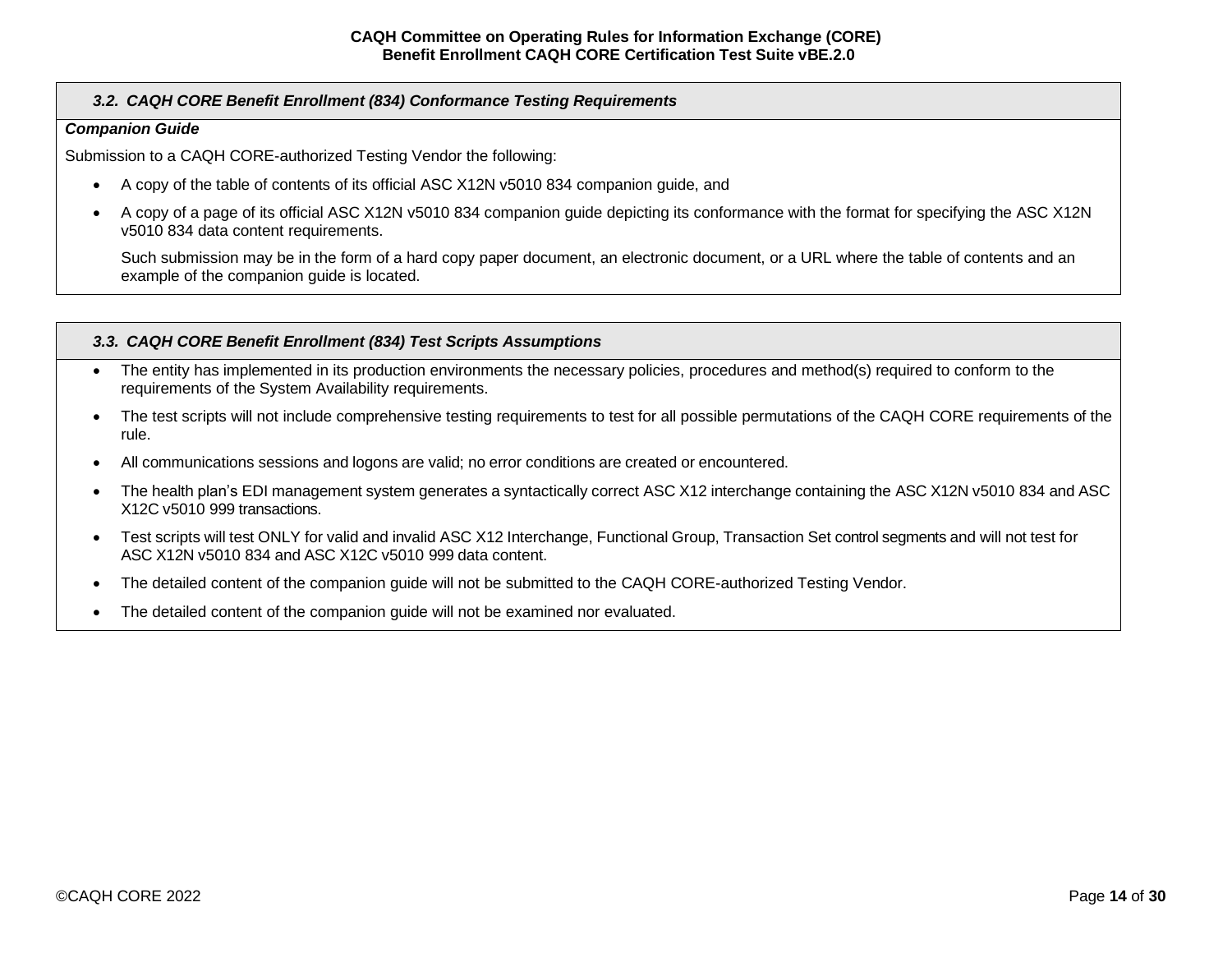# *3.2. CAQH CORE Benefit Enrollment (834) Conformance Testing Requirements*

#### *Companion Guide*

Submission to a CAQH CORE-authorized Testing Vendor the following:

- A copy of the table of contents of its official ASC X12N v5010 834 companion guide, and
- A copy of a page of its official ASC X12N v5010 834 companion guide depicting its conformance with the format for specifying the ASC X12N v5010 834 data content requirements.

Such submission may be in the form of a hard copy paper document, an electronic document, or a URL where the table of contents and an example of the companion guide is located.

#### <span id="page-13-0"></span>*3.3. CAQH CORE Benefit Enrollment (834) Test Scripts Assumptions*

- The entity has implemented in its production environments the necessary policies, procedures and method(s) required to conform to the requirements of the System Availability requirements.
- The test scripts will not include comprehensive testing requirements to test for all possible permutations of the CAQH CORE requirements of the rule.
- All communications sessions and logons are valid; no error conditions are created or encountered.
- The health plan's EDI management system generates a syntactically correct ASC X12 interchange containing the ASC X12N v5010 834 and ASC X12C v5010 999 transactions.
- Test scripts will test ONLY for valid and invalid ASC X12 Interchange, Functional Group, Transaction Set control segments and will not test for ASC X12N v5010 834 and ASC X12C v5010 999 data content.
- The detailed content of the companion guide will not be submitted to the CAQH CORE-authorized Testing Vendor.
- The detailed content of the companion guide will not be examined nor evaluated.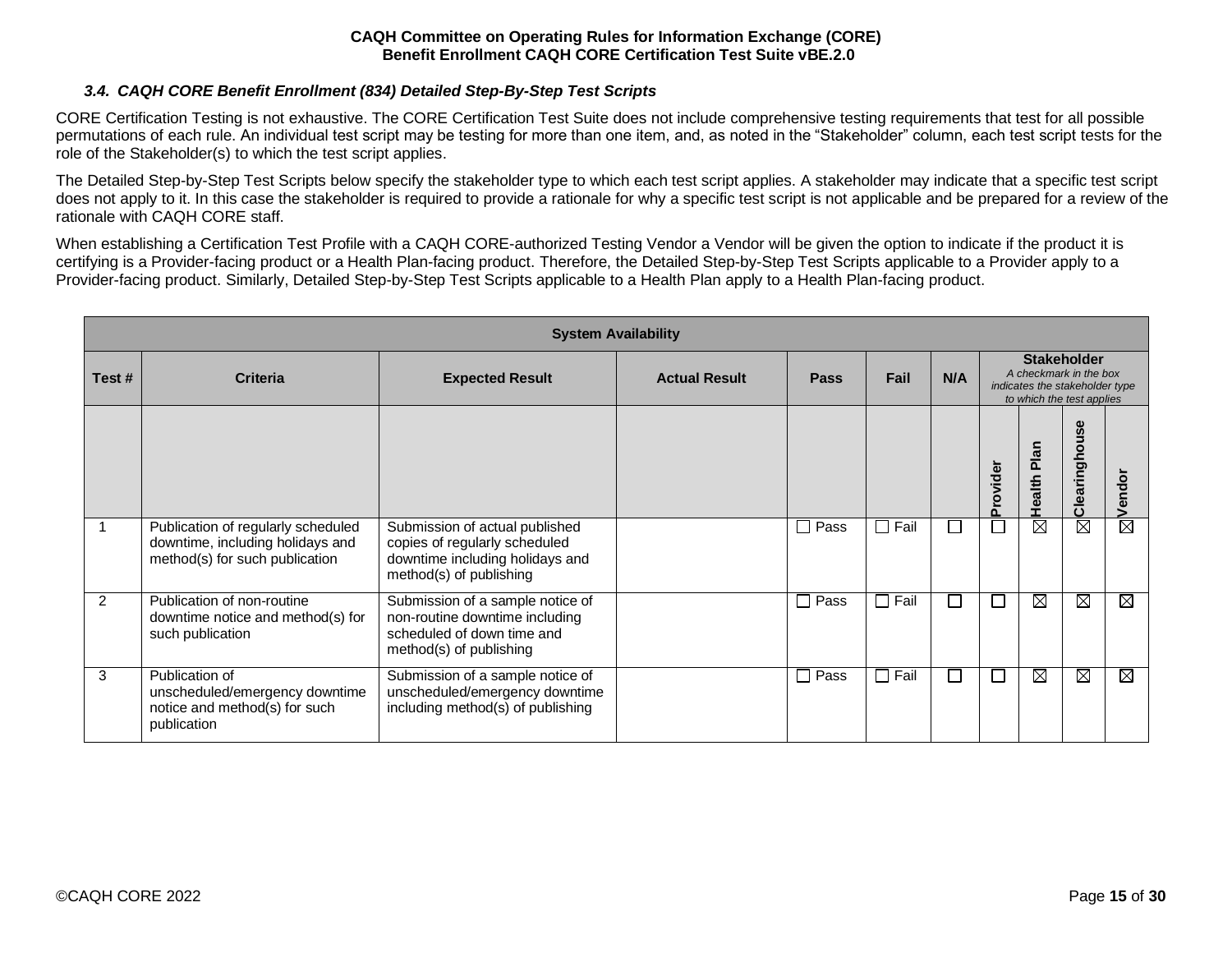# *3.4. CAQH CORE Benefit Enrollment (834) Detailed Step-By-Step Test Scripts*

<span id="page-14-0"></span>CORE Certification Testing is not exhaustive. The CORE Certification Test Suite does not include comprehensive testing requirements that test for all possible permutations of each rule. An individual test script may be testing for more than one item, and, as noted in the "Stakeholder" column, each test script tests for the role of the Stakeholder(s) to which the test script applies.

The Detailed Step-by-Step Test Scripts below specify the stakeholder type to which each test script applies. A stakeholder may indicate that a specific test script does not apply to it. In this case the stakeholder is required to provide a rationale for why a specific test script is not applicable and be prepared for a review of the rationale with CAQH CORE staff.

When establishing a Certification Test Profile with a CAQH CORE-authorized Testing Vendor a Vendor will be given the option to indicate if the product it is certifying is a Provider-facing product or a Health Plan-facing product. Therefore, the Detailed Step-by-Step Test Scripts applicable to a Provider apply to a Provider-facing product. Similarly, Detailed Step-by-Step Test Scripts applicable to a Health Plan apply to a Health Plan-facing product.

|       | <b>System Availability</b>                                                                               |                                                                                                                               |                      |                      |                |                             |                          |                                                                                                             |               |             |  |  |
|-------|----------------------------------------------------------------------------------------------------------|-------------------------------------------------------------------------------------------------------------------------------|----------------------|----------------------|----------------|-----------------------------|--------------------------|-------------------------------------------------------------------------------------------------------------|---------------|-------------|--|--|
| Test# | <b>Criteria</b>                                                                                          | <b>Expected Result</b>                                                                                                        | <b>Actual Result</b> | <b>Pass</b>          | Fail           | N/A                         |                          | <b>Stakeholder</b><br>A checkmark in the box<br>indicates the stakeholder type<br>to which the test applies |               |             |  |  |
|       |                                                                                                          |                                                                                                                               |                      |                      |                |                             | Provider                 | Plan<br>ealth<br>Ť                                                                                          | Clearinghouse | Vendor      |  |  |
|       | Publication of regularly scheduled<br>downtime, including holidays and<br>method(s) for such publication | Submission of actual published<br>copies of regularly scheduled<br>downtime including holidays and<br>method(s) of publishing |                      | Pass<br>$\perp$      | $\square$ Fail | $\mathcal{L}_{\mathcal{A}}$ | $\mathbb{R}^2$           | ⊠                                                                                                           | ⊠             | ⊠           |  |  |
| 2     | Publication of non-routine<br>downtime notice and method(s) for<br>such publication                      | Submission of a sample notice of<br>non-routine downtime including<br>scheduled of down time and<br>method(s) of publishing   |                      | Pass<br>$\mathsf{L}$ | $\square$ Fail | $\Box$                      | Ξ                        | ⊠                                                                                                           | ⊠             | $\boxtimes$ |  |  |
| 3     | Publication of<br>unscheduled/emergency downtime<br>notice and method(s) for such<br>publication         | Submission of a sample notice of<br>unscheduled/emergency downtime<br>including method(s) of publishing                       |                      | $\square$ Pass       | $\Box$ Fail    | $\Box$                      | $\overline{\phantom{a}}$ | ⊠                                                                                                           | ⊠             | $\boxtimes$ |  |  |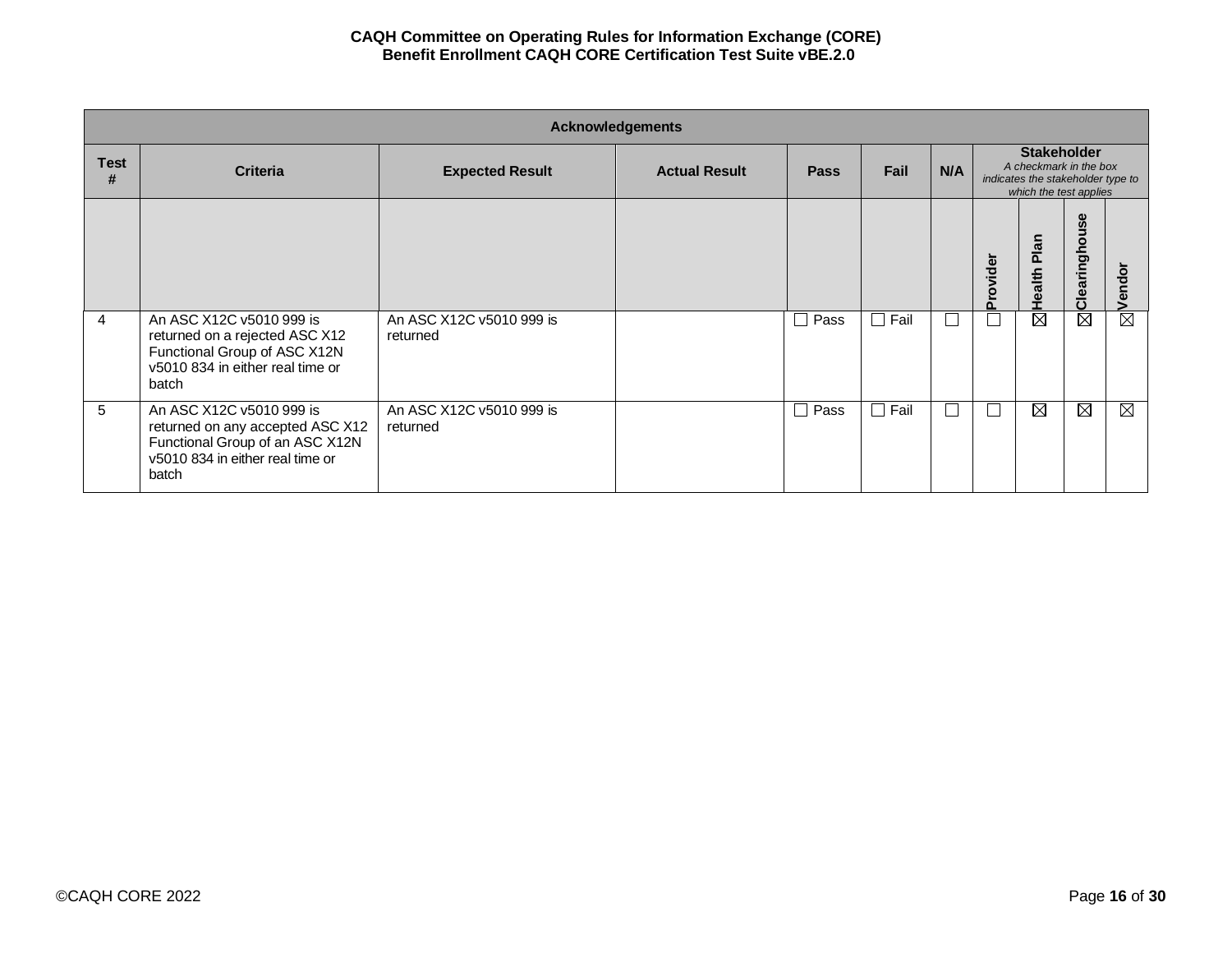|                  | <b>Acknowledgements</b>                                                                                                                      |                                      |                      |             |                                     |     |         |                                                                                                             |               |                   |  |  |
|------------------|----------------------------------------------------------------------------------------------------------------------------------------------|--------------------------------------|----------------------|-------------|-------------------------------------|-----|---------|-------------------------------------------------------------------------------------------------------------|---------------|-------------------|--|--|
| <b>Test</b><br># | <b>Criteria</b>                                                                                                                              | <b>Expected Result</b>               | <b>Actual Result</b> | <b>Pass</b> | Fail                                | N/A |         | <b>Stakeholder</b><br>A checkmark in the box<br>indicates the stakeholder type to<br>which the test applies |               |                   |  |  |
|                  |                                                                                                                                              |                                      |                      |             |                                     |     | rovider | Plan<br>ealth                                                                                               | Clearinghouse | $\circ$<br>힏<br>ω |  |  |
| 4                | An ASC X12C v5010 999 is<br>returned on a rejected ASC X12<br>Functional Group of ASC X12N<br>v5010 834 in either real time or<br>batch      | An ASC X12C v5010 999 is<br>returned |                      | $\Box$ Pass | Fail<br>$\mathcal{L}_{\mathcal{A}}$ |     |         | ⊠                                                                                                           | $\boxtimes$   | M                 |  |  |
| 5                | An ASC X12C v5010 999 is<br>returned on any accepted ASC X12<br>Functional Group of an ASC X12N<br>v5010 834 in either real time or<br>batch | An ASC X12C v5010 999 is<br>returned |                      | $\Box$ Pass | $\Box$ Fail                         |     |         | ⊠                                                                                                           | $\boxtimes$   | ⊠                 |  |  |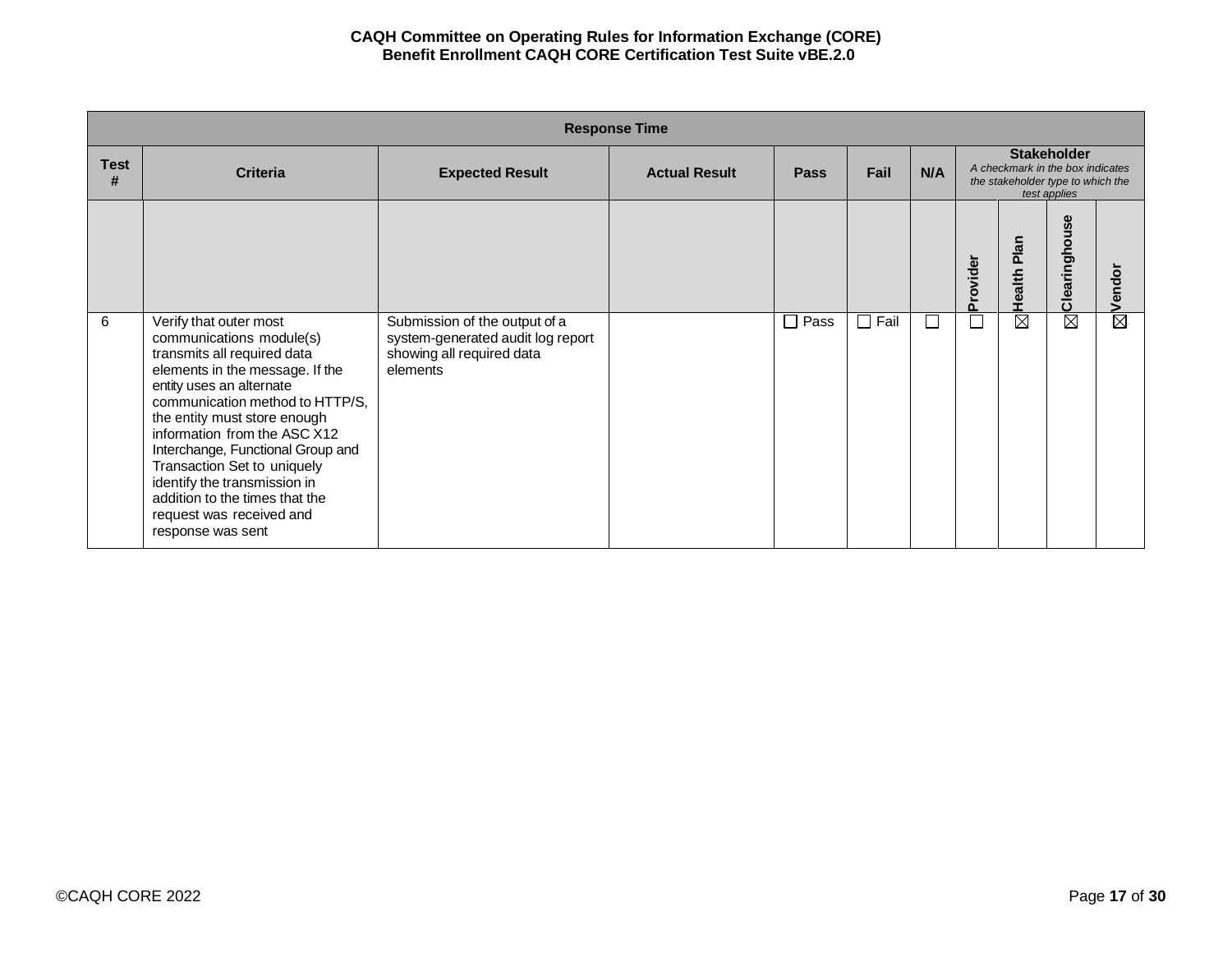|                  | <b>Response Time</b>                                                                                                                                                                                                                                                                                                                                                                                             |                                                                            |                      |             |                 |        |          |                                                                                                             |                    |                                  |  |  |
|------------------|------------------------------------------------------------------------------------------------------------------------------------------------------------------------------------------------------------------------------------------------------------------------------------------------------------------------------------------------------------------------------------------------------------------|----------------------------------------------------------------------------|----------------------|-------------|-----------------|--------|----------|-------------------------------------------------------------------------------------------------------------|--------------------|----------------------------------|--|--|
| <b>Test</b><br># | <b>Criteria</b>                                                                                                                                                                                                                                                                                                                                                                                                  | <b>Expected Result</b>                                                     | <b>Actual Result</b> | <b>Pass</b> | Fail            | N/A    |          | <b>Stakeholder</b><br>A checkmark in the box indicates<br>the stakeholder type to which the<br>test applies |                    |                                  |  |  |
| 6                | Verify that outer most                                                                                                                                                                                                                                                                                                                                                                                           | Submission of the output of a                                              |                      | Pass<br>П   | Fail<br>$\perp$ | $\Box$ | Provider | Plan<br>Health I<br>$\overline{\boxtimes}$                                                                  | Clearinghouse<br>⊠ | Vendor<br>$\overline{\boxtimes}$ |  |  |
|                  | communications module(s)<br>transmits all required data<br>elements in the message. If the<br>entity uses an alternate<br>communication method to HTTP/S.<br>the entity must store enough<br>information from the ASC X12<br>Interchange, Functional Group and<br>Transaction Set to uniquely<br>identify the transmission in<br>addition to the times that the<br>request was received and<br>response was sent | system-generated audit log report<br>showing all required data<br>elements |                      |             |                 |        |          |                                                                                                             |                    |                                  |  |  |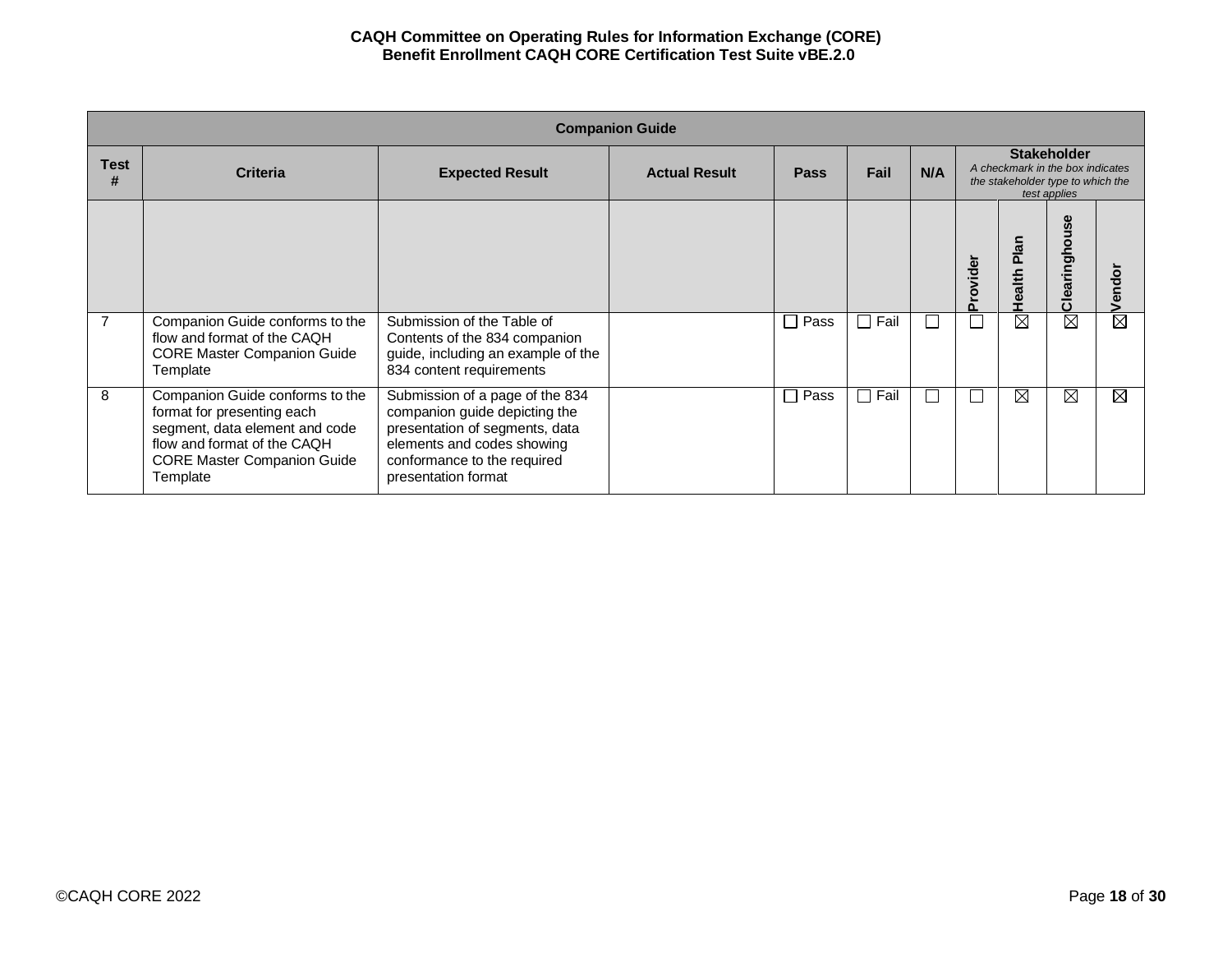|                  | <b>Companion Guide</b>                                                                                                                                                           |                                                                                                                                                                                        |                      |                                  |        |     |          |                                                                                                             |                        |        |  |  |
|------------------|----------------------------------------------------------------------------------------------------------------------------------------------------------------------------------|----------------------------------------------------------------------------------------------------------------------------------------------------------------------------------------|----------------------|----------------------------------|--------|-----|----------|-------------------------------------------------------------------------------------------------------------|------------------------|--------|--|--|
| <b>Test</b><br># | <b>Criteria</b>                                                                                                                                                                  | <b>Expected Result</b>                                                                                                                                                                 | <b>Actual Result</b> | <b>Pass</b>                      | Fail   | N/A |          | <b>Stakeholder</b><br>A checkmark in the box indicates<br>the stakeholder type to which the<br>test applies |                        |        |  |  |
|                  |                                                                                                                                                                                  |                                                                                                                                                                                        |                      |                                  |        |     | Provider | <b>Plan</b><br>Health                                                                                       | use<br>Clearingho      | Vendor |  |  |
| 7                | Companion Guide conforms to the<br>flow and format of the CAQH<br><b>CORE Master Companion Guide</b><br>Template                                                                 | Submission of the Table of<br>Contents of the 834 companion<br>guide, including an example of the<br>834 content requirements                                                          |                      | Pass<br>$\overline{\phantom{0}}$ | Fail   | I.  |          | $\overline{\boxtimes}$                                                                                      | $\overline{\boxtimes}$ | ⊠      |  |  |
| 8                | Companion Guide conforms to the<br>format for presenting each<br>segment, data element and code<br>flow and format of the CAQH<br><b>CORE Master Companion Guide</b><br>Template | Submission of a page of the 834<br>companion guide depicting the<br>presentation of segments, data<br>elements and codes showing<br>conformance to the required<br>presentation format |                      | Pass<br>$\overline{\phantom{a}}$ | □ Fail | L.  | L        | $\overline{\boxtimes}$                                                                                      | ⊠                      | ⊠      |  |  |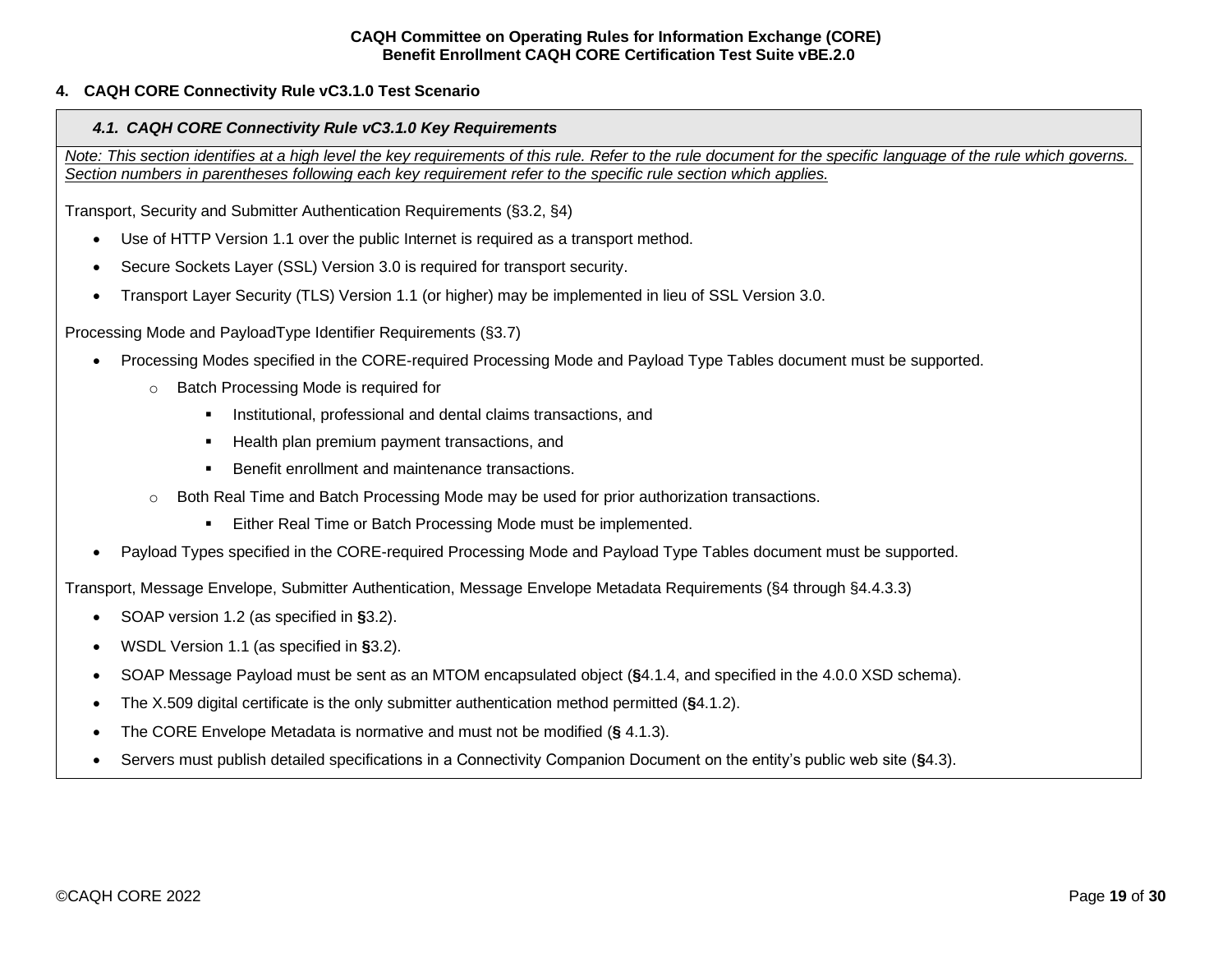# <span id="page-18-1"></span><span id="page-18-0"></span>**4. CAQH CORE Connectivity Rule vC3.1.0 Test Scenario**

#### *4.1. CAQH CORE Connectivity Rule vC3.1.0 Key Requirements*

*Note: This section identifies at a high level the key requirements of this rule. Refer to the rule document for the specific language of the rule which governs. Section numbers in parentheses following each key requirement refer to the specific rule section which applies.*

Transport, Security and Submitter Authentication Requirements (§3.2, §4)

- Use of HTTP Version 1.1 over the public Internet is required as a transport method.
- Secure Sockets Layer (SSL) Version 3.0 is required for transport security.
- Transport Layer Security (TLS) Version 1.1 (or higher) may be implemented in lieu of SSL Version 3.0.

Processing Mode and PayloadType Identifier Requirements (§3.7)

- Processing Modes specified in the CORE-required Processing Mode and Payload Type Tables document must be supported.
	- o Batch Processing Mode is required for
		- **EXECT** Institutional, professional and dental claims transactions, and
		- Health plan premium payment transactions, and
		- Benefit enrollment and maintenance transactions.
	- Both Real Time and Batch Processing Mode may be used for prior authorization transactions.
		- Either Real Time or Batch Processing Mode must be implemented.
- Payload Types specified in the CORE-required Processing Mode and Payload Type Tables document must be supported.

Transport, Message Envelope, Submitter Authentication, Message Envelope Metadata Requirements (§4 through §4.4.3.3)

- SOAP version 1.2 (as specified in **§**3.2).
- WSDL Version 1.1 (as specified in **§**3.2).
- SOAP Message Payload must be sent as an MTOM encapsulated object (**§**4.1.4, and specified in the 4.0.0 XSD schema).
- The X.509 digital certificate is the only submitter authentication method permitted (**§**4.1.2).
- The CORE Envelope Metadata is normative and must not be modified (**§** 4.1.3).
- Servers must publish detailed specifications in a Connectivity Companion Document on the entity's public web site (**§**4.3).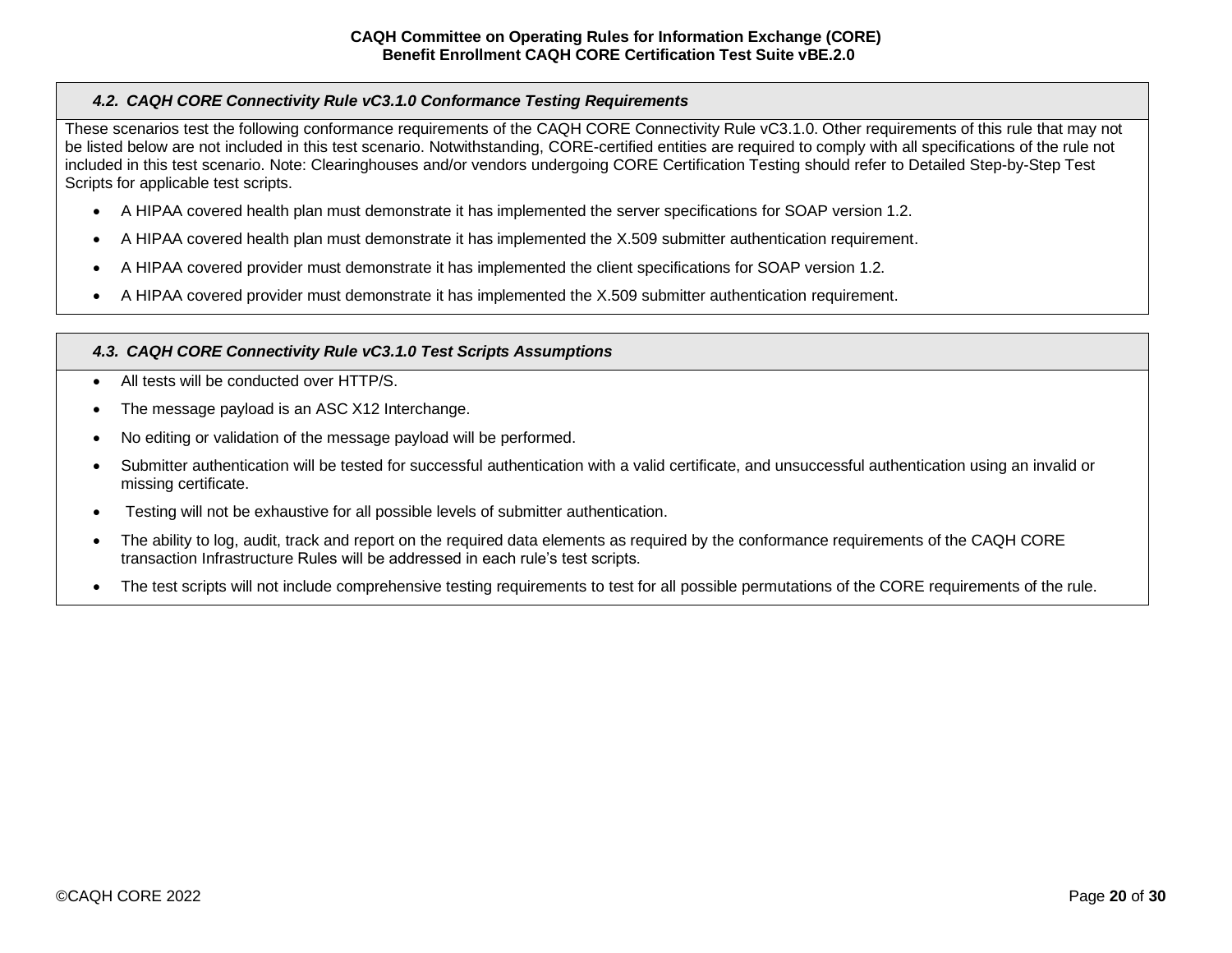# <span id="page-19-0"></span>*4.2. CAQH CORE Connectivity Rule vC3.1.0 Conformance Testing Requirements*

These scenarios test the following conformance requirements of the CAQH CORE Connectivity Rule vC3.1.0. Other requirements of this rule that may not be listed below are not included in this test scenario. Notwithstanding, CORE-certified entities are required to comply with all specifications of the rule not included in this test scenario. Note: Clearinghouses and/or vendors undergoing CORE Certification Testing should refer to Detailed Step-by-Step Test Scripts for applicable test scripts.

- A HIPAA covered health plan must demonstrate it has implemented the server specifications for SOAP version 1.2.
- A HIPAA covered health plan must demonstrate it has implemented the X.509 submitter authentication requirement.
- A HIPAA covered provider must demonstrate it has implemented the client specifications for SOAP version 1.2.
- A HIPAA covered provider must demonstrate it has implemented the X.509 submitter authentication requirement.

# <span id="page-19-1"></span>*4.3. CAQH CORE Connectivity Rule vC3.1.0 Test Scripts Assumptions*

- All tests will be conducted over HTTP/S.
- The message payload is an ASC X12 Interchange.
- No editing or validation of the message payload will be performed.
- Submitter authentication will be tested for successful authentication with a valid certificate, and unsuccessful authentication using an invalid or missing certificate.
- Testing will not be exhaustive for all possible levels of submitter authentication.
- The ability to log, audit, track and report on the required data elements as required by the conformance requirements of the CAQH CORE transaction Infrastructure Rules will be addressed in each rule's test scripts.
- The test scripts will not include comprehensive testing requirements to test for all possible permutations of the CORE requirements of the rule.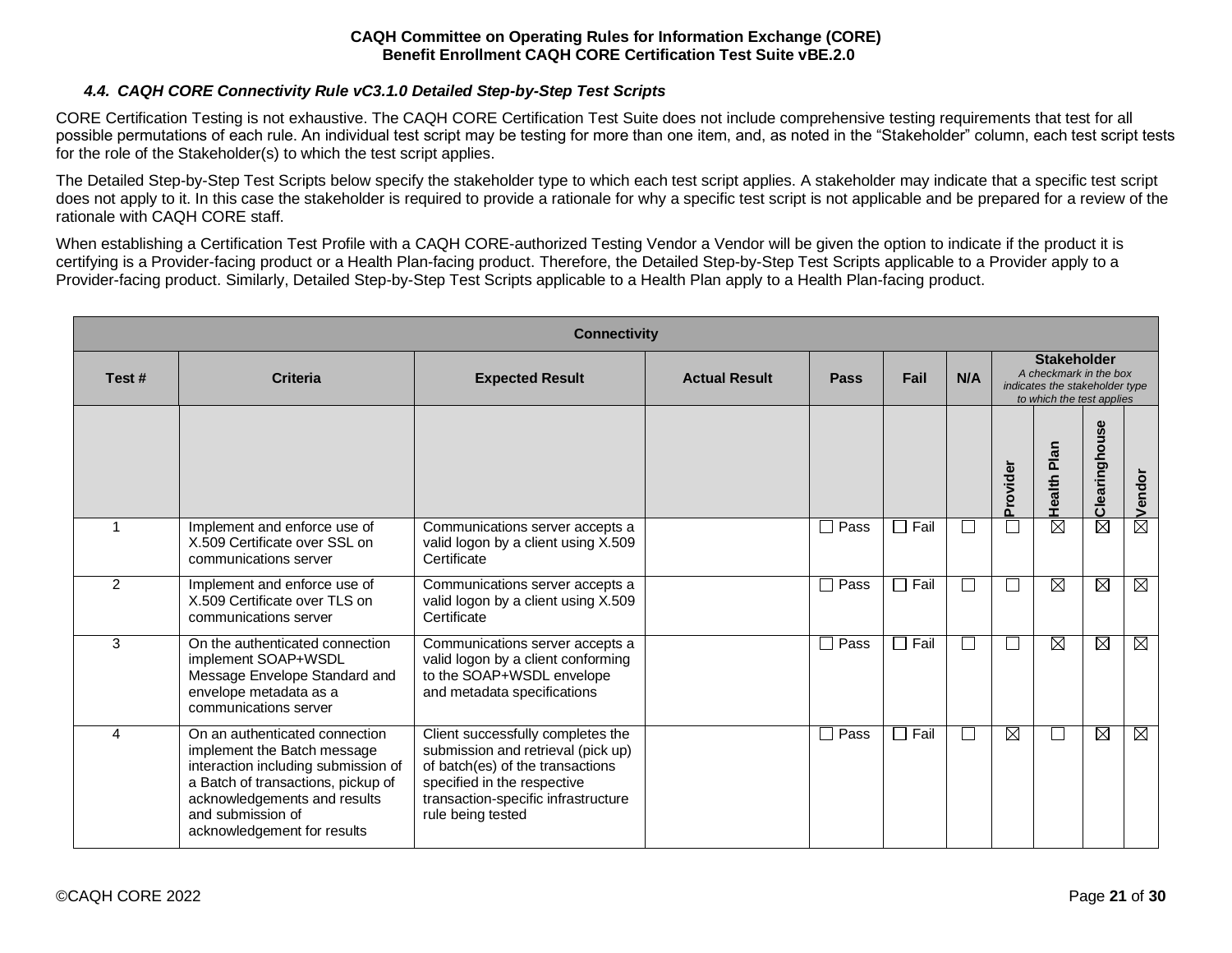# *4.4. CAQH CORE Connectivity Rule vC3.1.0 Detailed Step-by-Step Test Scripts*

<span id="page-20-0"></span>CORE Certification Testing is not exhaustive. The CAQH CORE Certification Test Suite does not include comprehensive testing requirements that test for all possible permutations of each rule. An individual test script may be testing for more than one item, and, as noted in the "Stakeholder" column, each test script tests for the role of the Stakeholder(s) to which the test script applies.

The Detailed Step-by-Step Test Scripts below specify the stakeholder type to which each test script applies. A stakeholder may indicate that a specific test script does not apply to it. In this case the stakeholder is required to provide a rationale for why a specific test script is not applicable and be prepared for a review of the rationale with CAQH CORE staff.

When establishing a Certification Test Profile with a CAQH CORE-authorized Testing Vendor a Vendor will be given the option to indicate if the product it is certifying is a Provider-facing product or a Health Plan-facing product. Therefore, the Detailed Step-by-Step Test Scripts applicable to a Provider apply to a Provider-facing product. Similarly, Detailed Step-by-Step Test Scripts applicable to a Health Plan apply to a Health Plan-facing product.

|                | <b>Connectivity</b>                                                                                                                                                                                                            |                                                                                                                                                                                                        |                      |                      |             |              |          |                                                                                                             |               |             |  |  |
|----------------|--------------------------------------------------------------------------------------------------------------------------------------------------------------------------------------------------------------------------------|--------------------------------------------------------------------------------------------------------------------------------------------------------------------------------------------------------|----------------------|----------------------|-------------|--------------|----------|-------------------------------------------------------------------------------------------------------------|---------------|-------------|--|--|
| Test#          | <b>Criteria</b>                                                                                                                                                                                                                | <b>Expected Result</b>                                                                                                                                                                                 | <b>Actual Result</b> | <b>Pass</b>          | Fail        | N/A          |          | <b>Stakeholder</b><br>A checkmark in the box<br>indicates the stakeholder type<br>to which the test applies |               |             |  |  |
|                |                                                                                                                                                                                                                                |                                                                                                                                                                                                        |                      |                      |             |              | Provider | Plan<br>Health                                                                                              | Clearinghouse | ⊠ vendor    |  |  |
|                | Implement and enforce use of<br>X.509 Certificate over SSL on<br>communications server                                                                                                                                         | Communications server accepts a<br>valid logon by a client using X.509<br>Certificate                                                                                                                  |                      | $\Box$ Pass          | $\Box$ Fail | $\mathsf{L}$ | Г        | $\overline{\boxtimes}$                                                                                      | ⊠             |             |  |  |
| $\overline{2}$ | Implement and enforce use of<br>X.509 Certificate over TLS on<br>communications server                                                                                                                                         | Communications server accepts a<br>valid logon by a client using X.509<br>Certificate                                                                                                                  |                      | Pass<br>$\mathbf{I}$ | $\Box$ Fail | П            | Г        | $\boxtimes$                                                                                                 | $\boxtimes$   | Ø           |  |  |
| 3              | On the authenticated connection<br>implement SOAP+WSDL<br>Message Envelope Standard and<br>envelope metadata as a<br>communications server                                                                                     | Communications server accepts a<br>valid logon by a client conforming<br>to the SOAP+WSDL envelope<br>and metadata specifications                                                                      |                      | $\Box$ Pass          | $\Box$ Fail | $\Box$       | Г        | $\boxtimes$                                                                                                 | $\boxtimes$   | $\boxtimes$ |  |  |
| 4              | On an authenticated connection<br>implement the Batch message<br>interaction including submission of<br>a Batch of transactions, pickup of<br>acknowledgements and results<br>and submission of<br>acknowledgement for results | Client successfully completes the<br>submission and retrieval (pick up)<br>of batch(es) of the transactions<br>specified in the respective<br>transaction-specific infrastructure<br>rule being tested |                      | $\Box$ Pass          | $\Box$ Fail | П            | ⊠        | $\Box$                                                                                                      | $\boxtimes$   | $\boxtimes$ |  |  |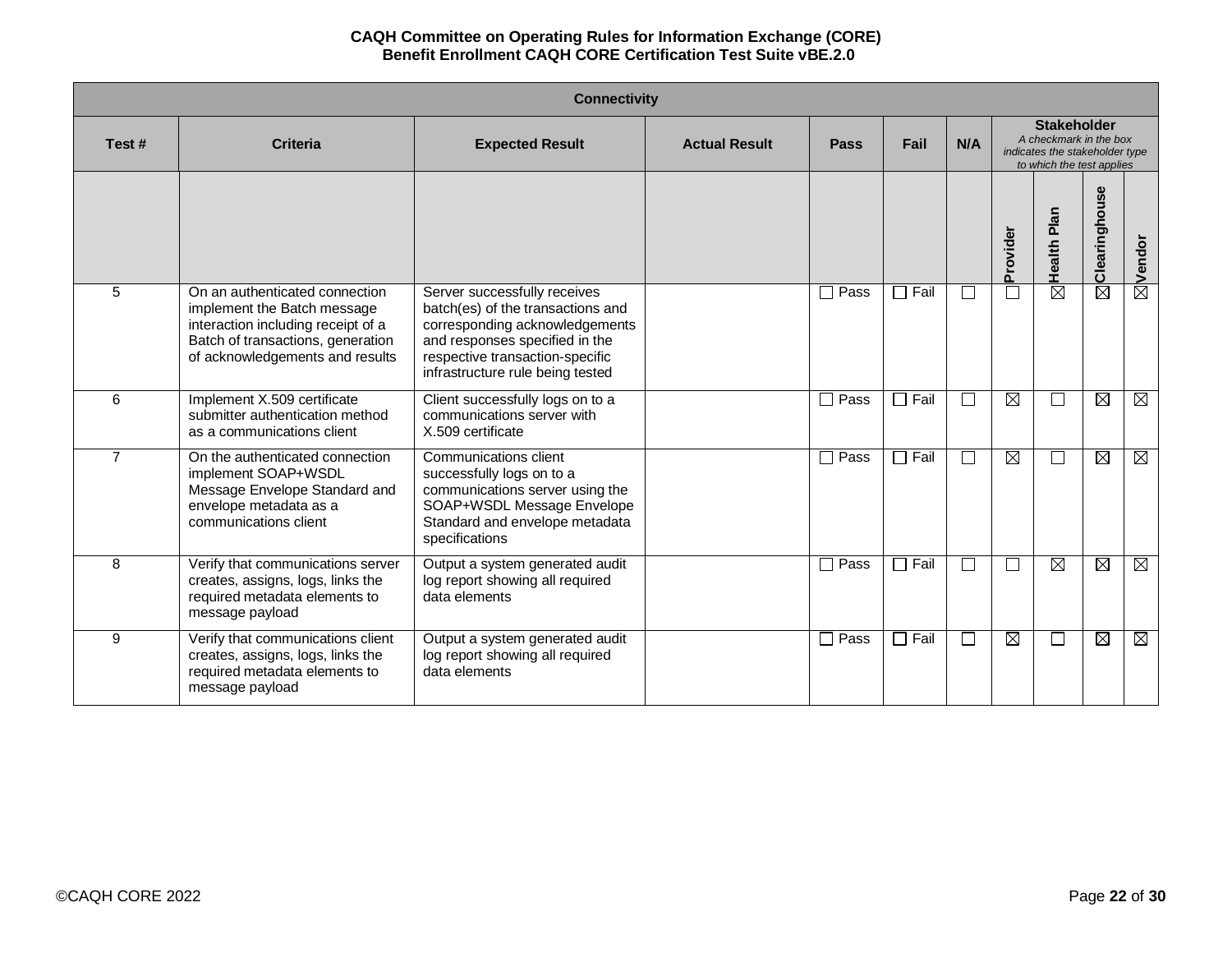|                | <b>Connectivity</b>                                                                                                                                                         |                                                                                                                                                                                                              |                      |             |             |                          |          |                                                                                                             |                        |             |  |  |
|----------------|-----------------------------------------------------------------------------------------------------------------------------------------------------------------------------|--------------------------------------------------------------------------------------------------------------------------------------------------------------------------------------------------------------|----------------------|-------------|-------------|--------------------------|----------|-------------------------------------------------------------------------------------------------------------|------------------------|-------------|--|--|
| Test#          | <b>Criteria</b>                                                                                                                                                             | <b>Expected Result</b>                                                                                                                                                                                       | <b>Actual Result</b> | Pass        | Fail        | N/A                      |          | <b>Stakeholder</b><br>A checkmark in the box<br>indicates the stakeholder type<br>to which the test applies |                        |             |  |  |
|                |                                                                                                                                                                             |                                                                                                                                                                                                              |                      |             |             |                          | Provider | Health Plan                                                                                                 | Clearinghouse          | ⊠Vendor     |  |  |
| 5              | On an authenticated connection<br>implement the Batch message<br>interaction including receipt of a<br>Batch of transactions, generation<br>of acknowledgements and results | Server successfully receives<br>batch(es) of the transactions and<br>corresponding acknowledgements<br>and responses specified in the<br>respective transaction-specific<br>infrastructure rule being tested |                      | $\Box$ Pass | $\Box$ Fail | $\Box$                   |          | $\boxtimes$                                                                                                 | $\boxtimes$            |             |  |  |
| 6              | Implement X.509 certificate<br>submitter authentication method<br>as a communications client                                                                                | Client successfully logs on to a<br>communications server with<br>X.509 certificate                                                                                                                          |                      | $\Box$ Pass | $\Box$ Fail | П                        | ⊠        | $\mathsf{L}$                                                                                                | $\boxtimes$            | $\boxtimes$ |  |  |
| $\overline{7}$ | On the authenticated connection<br>implement SOAP+WSDL<br>Message Envelope Standard and<br>envelope metadata as a<br>communications client                                  | Communications client<br>successfully logs on to a<br>communications server using the<br>SOAP+WSDL Message Envelope<br>Standard and envelope metadata<br>specifications                                      |                      | $\Box$ Pass | $\Box$ Fail | $\mathsf{L}$             | ⊠        | $\mathsf{L}$                                                                                                | $\boxtimes$            | $\boxtimes$ |  |  |
| 8              | Verify that communications server<br>creates, assigns, logs, links the<br>required metadata elements to<br>message payload                                                  | Output a system generated audit<br>log report showing all required<br>data elements                                                                                                                          |                      | Pass        | $\Box$ Fail | $\overline{\phantom{a}}$ |          | $\boxtimes$                                                                                                 | $\boxtimes$            | $\boxtimes$ |  |  |
| 9              | Verify that communications client<br>creates, assigns, logs, links the<br>required metadata elements to<br>message payload                                                  | Output a system generated audit<br>log report showing all required<br>data elements                                                                                                                          |                      | $\Box$ Pass | $\Box$ Fail | П                        | ⊠        | $\mathsf{L}$                                                                                                | $\overline{\boxtimes}$ | M           |  |  |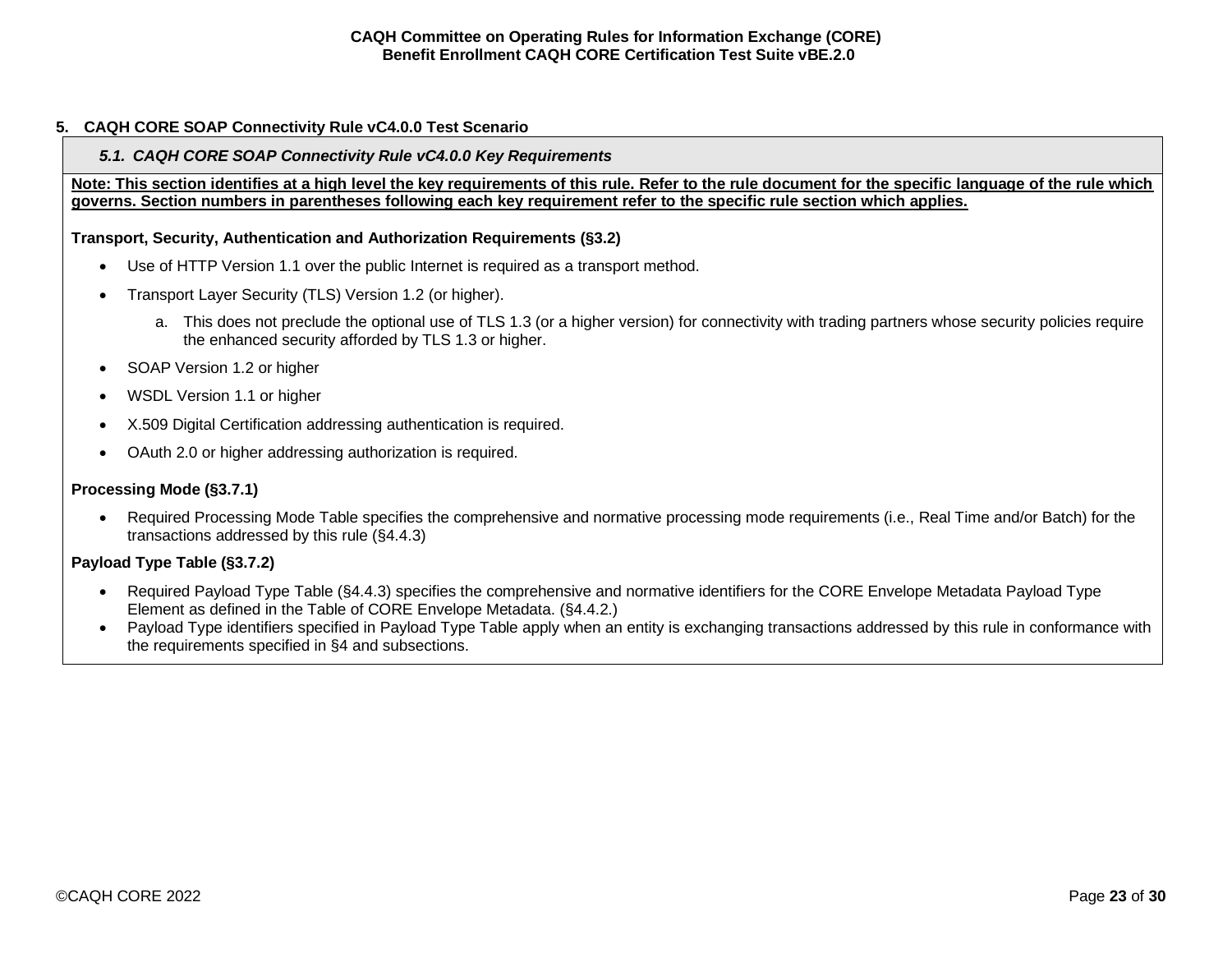#### <span id="page-22-1"></span><span id="page-22-0"></span>**5. CAQH CORE SOAP Connectivity Rule vC4.0.0 Test Scenario**

# *5.1. CAQH CORE SOAP Connectivity Rule vC4.0.0 Key Requirements*

**Note: This section identifies at a high level the key requirements of this rule. Refer to the rule document for the specific language of the rule which governs. Section numbers in parentheses following each key requirement refer to the specific rule section which applies.**

# **Transport, Security, Authentication and Authorization Requirements (§3.2)**

- Use of HTTP Version 1.1 over the public Internet is required as a transport method.
- Transport Layer Security (TLS) Version 1.2 (or higher).
	- a. This does not preclude the optional use of TLS 1.3 (or a higher version) for connectivity with trading partners whose security policies require the enhanced security afforded by TLS 1.3 or higher.
- SOAP Version 1.2 or higher
- WSDL Version 1.1 or higher
- X.509 Digital Certification addressing authentication is required.
- OAuth 2.0 or higher addressing authorization is required.

# **Processing Mode (§3.7.1)**

• Required Processing Mode Table specifies the comprehensive and normative processing mode requirements (i.e., Real Time and/or Batch) for the transactions addressed by this rule (§4.4.3)

# **Payload Type Table (§3.7.2)**

- Required Payload Type Table (§4.4.3) specifies the comprehensive and normative identifiers for the CORE Envelope Metadata Payload Type Element as defined in the Table of CORE Envelope Metadata. (§4.4.2.)
- Payload Type identifiers specified in Payload Type Table apply when an entity is exchanging transactions addressed by this rule in conformance with the requirements specified in §4 and subsections.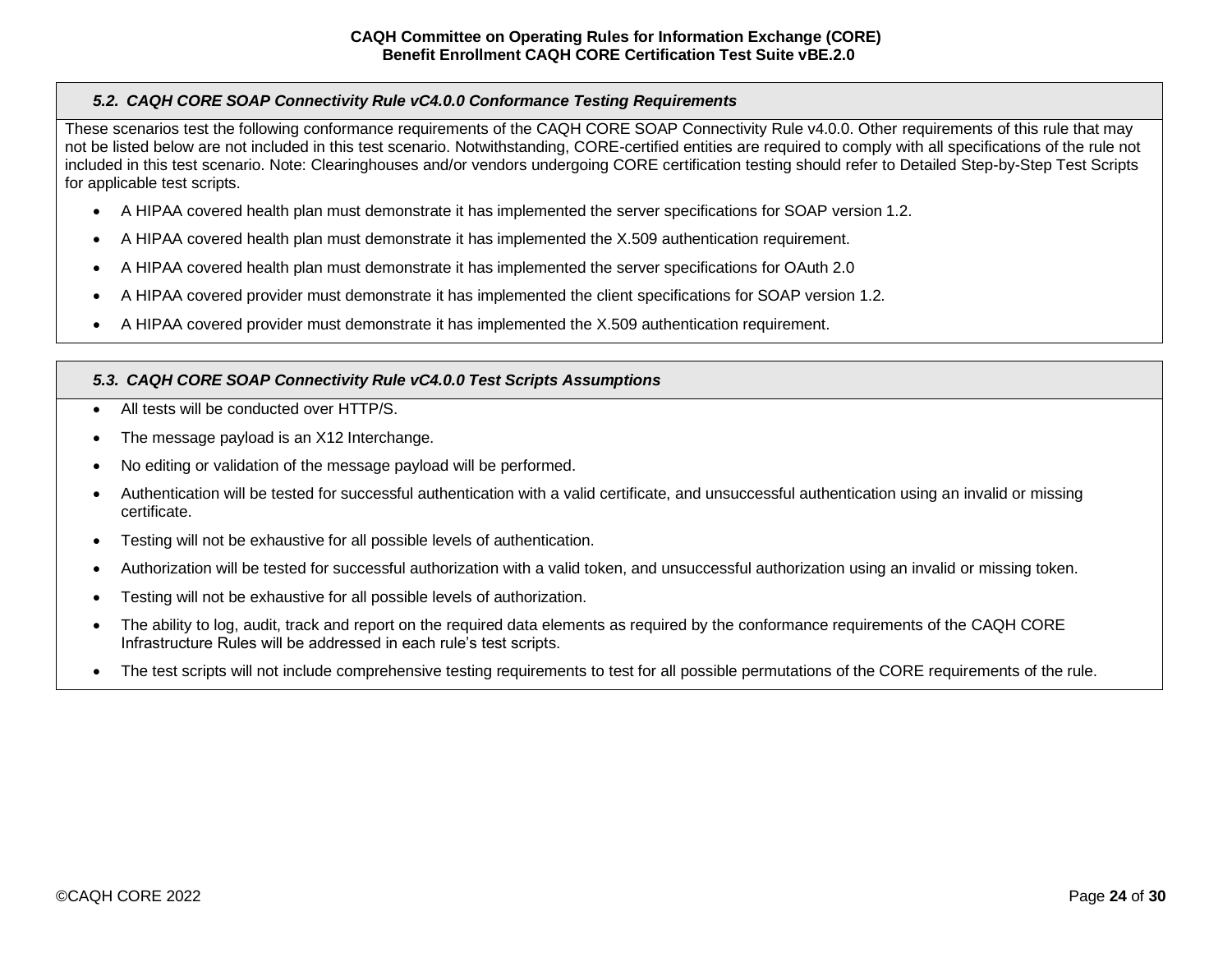# <span id="page-23-0"></span>*5.2. CAQH CORE SOAP Connectivity Rule vC4.0.0 Conformance Testing Requirements*

These scenarios test the following conformance requirements of the CAQH CORE SOAP Connectivity Rule v4.0.0. Other requirements of this rule that may not be listed below are not included in this test scenario. Notwithstanding, CORE-certified entities are required to comply with all specifications of the rule not included in this test scenario. Note: Clearinghouses and/or vendors undergoing CORE certification testing should refer to Detailed Step-by-Step Test Scripts for applicable test scripts.

- A HIPAA covered health plan must demonstrate it has implemented the server specifications for SOAP version 1.2.
- A HIPAA covered health plan must demonstrate it has implemented the X.509 authentication requirement.
- A HIPAA covered health plan must demonstrate it has implemented the server specifications for OAuth 2.0
- A HIPAA covered provider must demonstrate it has implemented the client specifications for SOAP version 1.2.
- A HIPAA covered provider must demonstrate it has implemented the X.509 authentication requirement.

# <span id="page-23-1"></span>*5.3. CAQH CORE SOAP Connectivity Rule vC4.0.0 Test Scripts Assumptions*

- All tests will be conducted over HTTP/S
- The message payload is an X12 Interchange.
- No editing or validation of the message payload will be performed.
- Authentication will be tested for successful authentication with a valid certificate, and unsuccessful authentication using an invalid or missing certificate.
- Testing will not be exhaustive for all possible levels of authentication.
- Authorization will be tested for successful authorization with a valid token, and unsuccessful authorization using an invalid or missing token.
- Testing will not be exhaustive for all possible levels of authorization.
- The ability to log, audit, track and report on the required data elements as required by the conformance requirements of the CAQH CORE Infrastructure Rules will be addressed in each rule's test scripts.
- The test scripts will not include comprehensive testing requirements to test for all possible permutations of the CORE requirements of the rule.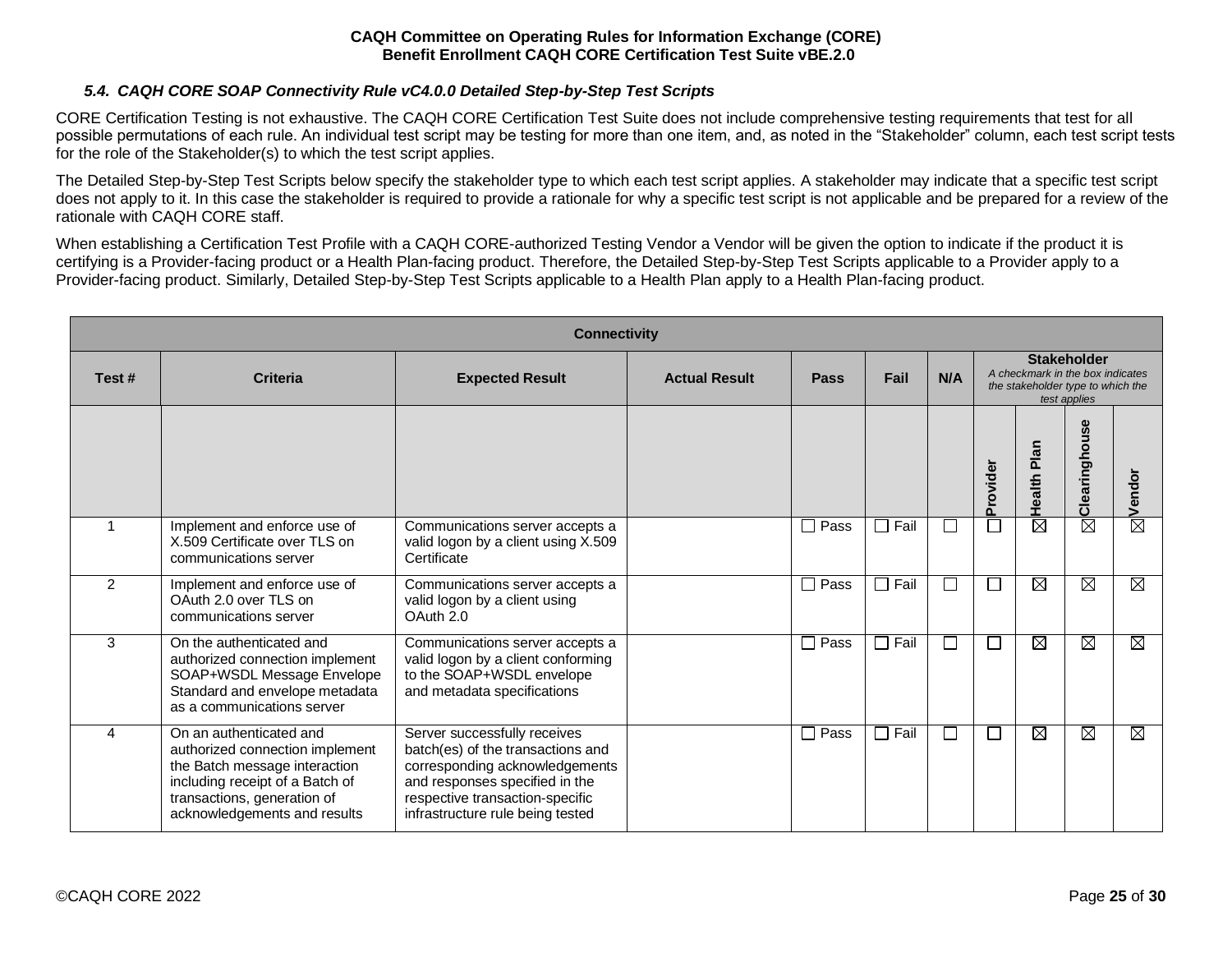### *5.4. CAQH CORE SOAP Connectivity Rule vC4.0.0 Detailed Step-by-Step Test Scripts*

<span id="page-24-0"></span>CORE Certification Testing is not exhaustive. The CAQH CORE Certification Test Suite does not include comprehensive testing requirements that test for all possible permutations of each rule. An individual test script may be testing for more than one item, and, as noted in the "Stakeholder" column, each test script tests for the role of the Stakeholder(s) to which the test script applies.

The Detailed Step-by-Step Test Scripts below specify the stakeholder type to which each test script applies. A stakeholder may indicate that a specific test script does not apply to it. In this case the stakeholder is required to provide a rationale for why a specific test script is not applicable and be prepared for a review of the rationale with CAQH CORE staff.

When establishing a Certification Test Profile with a CAQH CORE-authorized Testing Vendor a Vendor will be given the option to indicate if the product it is certifying is a Provider-facing product or a Health Plan-facing product. Therefore, the Detailed Step-by-Step Test Scripts applicable to a Provider apply to a Provider-facing product. Similarly, Detailed Step-by-Step Test Scripts applicable to a Health Plan apply to a Health Plan-facing product.

| <b>Connectivity</b> |                                                                                                                                                                                               |                                                                                                                                                                                                              |                      |             |             |                             |                                                                                                             |                        |                        |                        |
|---------------------|-----------------------------------------------------------------------------------------------------------------------------------------------------------------------------------------------|--------------------------------------------------------------------------------------------------------------------------------------------------------------------------------------------------------------|----------------------|-------------|-------------|-----------------------------|-------------------------------------------------------------------------------------------------------------|------------------------|------------------------|------------------------|
| Test#               | <b>Criteria</b>                                                                                                                                                                               | <b>Expected Result</b>                                                                                                                                                                                       | <b>Actual Result</b> | Pass        | Fail        | N/A                         | <b>Stakeholder</b><br>A checkmark in the box indicates<br>the stakeholder type to which the<br>test applies |                        |                        |                        |
|                     |                                                                                                                                                                                               |                                                                                                                                                                                                              |                      |             |             |                             | Provider                                                                                                    | Plan<br>Health I       | 8<br>š<br>Clearingho   | Vendor                 |
|                     | Implement and enforce use of<br>X.509 Certificate over TLS on<br>communications server                                                                                                        | Communications server accepts a<br>valid logon by a client using X.509<br>Certificate                                                                                                                        |                      | $\Box$ Pass | $\Box$ Fail | $\mathcal{L}_{\mathcal{A}}$ |                                                                                                             | $\overline{\boxtimes}$ | $\overline{\boxtimes}$ | $\overline{\boxtimes}$ |
| $\overline{2}$      | Implement and enforce use of<br>OAuth 2.0 over TLS on<br>communications server                                                                                                                | Communications server accepts a<br>valid logon by a client using<br>OAuth 2.0                                                                                                                                |                      | $\Box$ Pass | $\Box$ Fail |                             |                                                                                                             | $\boxtimes$            | $\boxtimes$            | $\boxtimes$            |
| 3                   | On the authenticated and<br>authorized connection implement<br>SOAP+WSDL Message Envelope<br>Standard and envelope metadata<br>as a communications server                                     | Communications server accepts a<br>valid logon by a client conforming<br>to the SOAP+WSDL envelope<br>and metadata specifications                                                                            |                      | $\Box$ Pass | $\Box$ Fail | $\sim$                      |                                                                                                             | ⊠                      | ⊠                      | $\overline{\boxtimes}$ |
| 4                   | On an authenticated and<br>authorized connection implement<br>the Batch message interaction<br>including receipt of a Batch of<br>transactions, generation of<br>acknowledgements and results | Server successfully receives<br>batch(es) of the transactions and<br>corresponding acknowledgements<br>and responses specified in the<br>respective transaction-specific<br>infrastructure rule being tested |                      | $\Box$ Pass | $\Box$ Fail | $\mathcal{L}$               |                                                                                                             | ⊠                      | ⊠                      | $\boxtimes$            |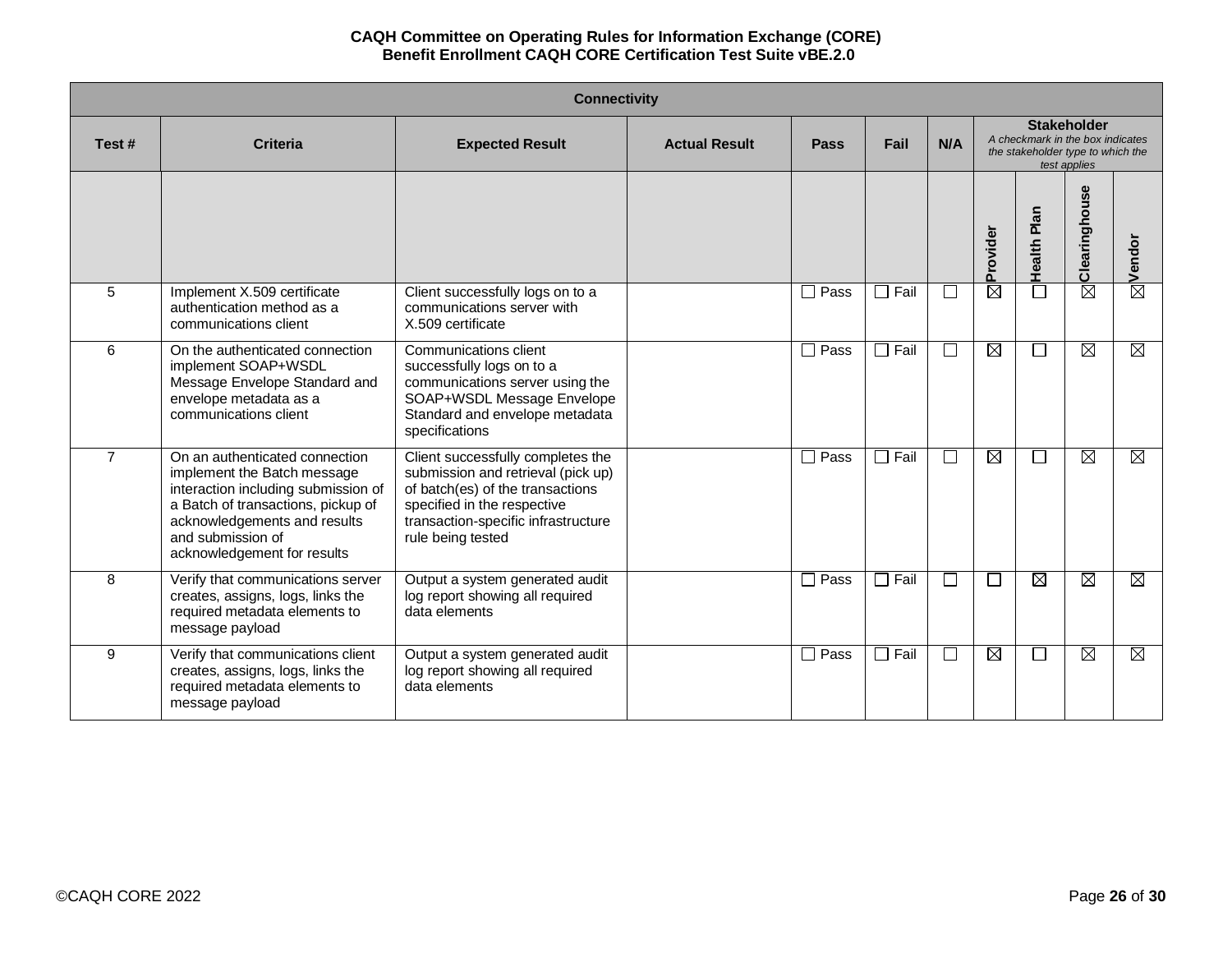| <b>Connectivity</b> |                                                                                                                                                                                                                                |                                                                                                                                                                                                        |                      |             |             |                |                                                                                                             |                        |                        |                        |
|---------------------|--------------------------------------------------------------------------------------------------------------------------------------------------------------------------------------------------------------------------------|--------------------------------------------------------------------------------------------------------------------------------------------------------------------------------------------------------|----------------------|-------------|-------------|----------------|-------------------------------------------------------------------------------------------------------------|------------------------|------------------------|------------------------|
| Test#               | <b>Criteria</b>                                                                                                                                                                                                                | <b>Expected Result</b>                                                                                                                                                                                 | <b>Actual Result</b> | <b>Pass</b> | Fail        | N/A            | <b>Stakeholder</b><br>A checkmark in the box indicates<br>the stakeholder type to which the<br>test applies |                        |                        |                        |
|                     |                                                                                                                                                                                                                                |                                                                                                                                                                                                        |                      |             |             |                | Provider                                                                                                    | Health Plan            | Clearinghouse          | Vendor                 |
| 5                   | Implement X.509 certificate<br>authentication method as a<br>communications client                                                                                                                                             | Client successfully logs on to a<br>communications server with<br>X.509 certificate                                                                                                                    |                      | $\Box$ Pass | $\Box$ Fail |                | X                                                                                                           | П                      | $\overline{\boxtimes}$ | $\overline{\boxtimes}$ |
| 6                   | On the authenticated connection<br>implement SOAP+WSDL<br>Message Envelope Standard and<br>envelope metadata as a<br>communications client                                                                                     | Communications client<br>successfully logs on to a<br>communications server using the<br>SOAP+WSDL Message Envelope<br>Standard and envelope metadata<br>specifications                                |                      | $\Box$ Pass | $\Box$ Fail | П              | M                                                                                                           | $\Box$                 | ⊠                      | M                      |
| $\overline{7}$      | On an authenticated connection<br>implement the Batch message<br>interaction including submission of<br>a Batch of transactions, pickup of<br>acknowledgements and results<br>and submission of<br>acknowledgement for results | Client successfully completes the<br>submission and retrieval (pick up)<br>of batch(es) of the transactions<br>specified in the respective<br>transaction-specific infrastructure<br>rule being tested |                      | Pass<br>П   | $\Box$ Fail | $\mathbb{R}^n$ | $\boxtimes$                                                                                                 | $\Box$                 | ⊠                      | $\boxtimes$            |
| 8                   | Verify that communications server<br>creates, assigns, logs, links the<br>required metadata elements to<br>message payload                                                                                                     | Output a system generated audit<br>log report showing all required<br>data elements                                                                                                                    |                      | $\Box$ Pass | $\Box$ Fail | $\mathbf{L}$   | $\mathbf{I}$                                                                                                | $\overline{\boxtimes}$ | $\overline{\boxtimes}$ | $\boxtimes$            |
| 9                   | Verify that communications client<br>creates, assigns, logs, links the<br>required metadata elements to<br>message payload                                                                                                     | Output a system generated audit<br>log report showing all required<br>data elements                                                                                                                    |                      | $\Box$ Pass | $\Box$ Fail | $\Box$         | $\boxtimes$                                                                                                 | $\Box$                 | ⊠                      | $\boxtimes$            |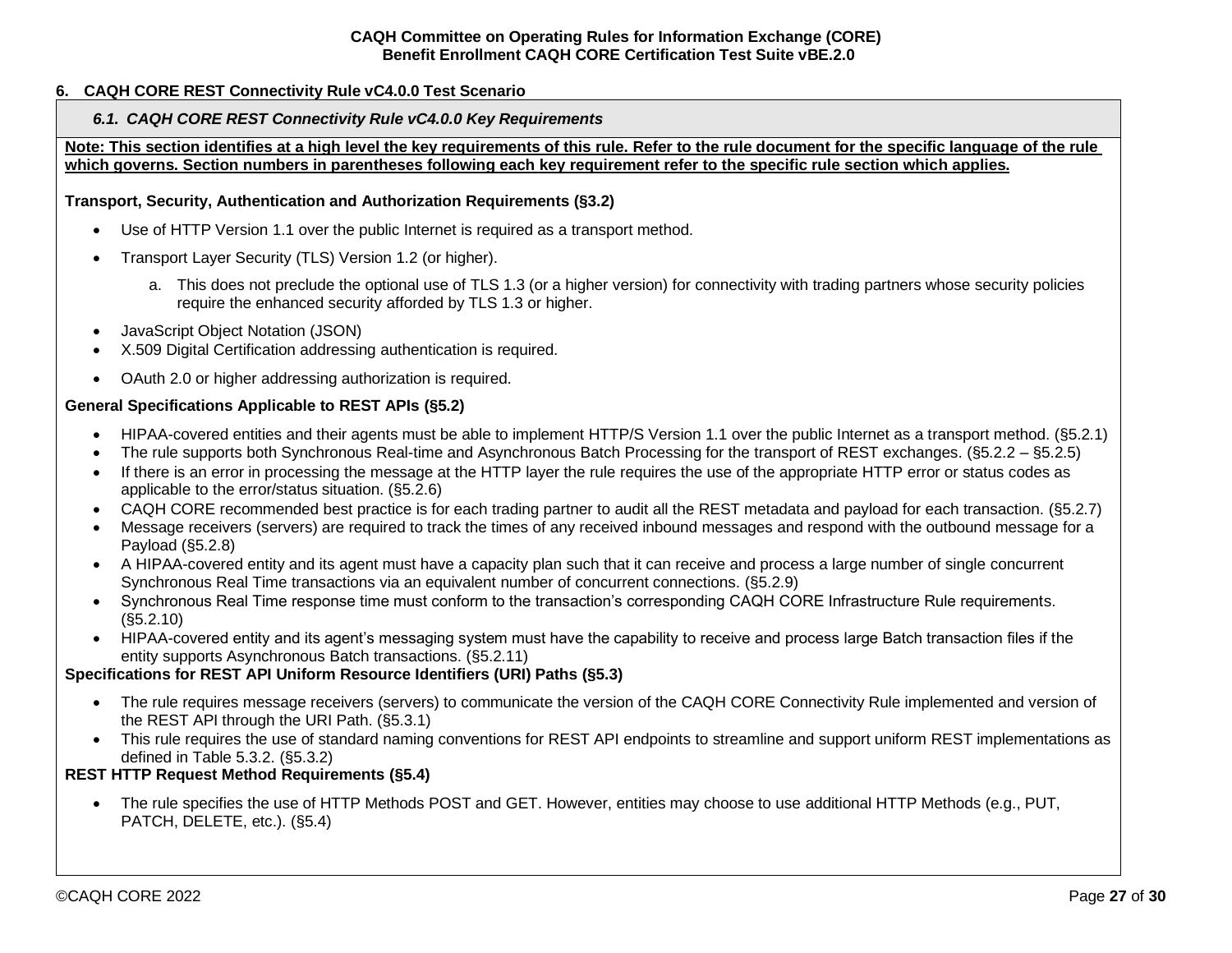# <span id="page-26-1"></span><span id="page-26-0"></span>**6. CAQH CORE REST Connectivity Rule vC4.0.0 Test Scenario**

#### *6.1. CAQH CORE REST Connectivity Rule vC4.0.0 Key Requirements*

**Note: This section identifies at a high level the key requirements of this rule. Refer to the rule document for the specific language of the rule which governs. Section numbers in parentheses following each key requirement refer to the specific rule section which applies.**

#### **Transport, Security, Authentication and Authorization Requirements (§3.2)**

- Use of HTTP Version 1.1 over the public Internet is required as a transport method.
- Transport Layer Security (TLS) Version 1.2 (or higher).
	- a. This does not preclude the optional use of TLS 1.3 (or a higher version) for connectivity with trading partners whose security policies require the enhanced security afforded by TLS 1.3 or higher.
- JavaScript Object Notation (JSON)
- X.509 Digital Certification addressing authentication is required.
- OAuth 2.0 or higher addressing authorization is required.

#### **General Specifications Applicable to REST APIs (§5.2)**

- HIPAA-covered entities and their agents must be able to implement HTTP/S Version 1.1 over the public Internet as a transport method. (§5.2.1)
- The rule supports both Synchronous Real-time and Asynchronous Batch Processing for the transport of REST exchanges. (§5.2.2 §5.2.5)
- If there is an error in processing the message at the HTTP layer the rule requires the use of the appropriate HTTP error or status codes as applicable to the error/status situation. (§5.2.6)
- CAQH CORE recommended best practice is for each trading partner to audit all the REST metadata and payload for each transaction. (§5.2.7)
- Message receivers (servers) are required to track the times of any received inbound messages and respond with the outbound message for a Payload (§5.2.8)
- A HIPAA-covered entity and its agent must have a capacity plan such that it can receive and process a large number of single concurrent Synchronous Real Time transactions via an equivalent number of concurrent connections. (§5.2.9)
- Synchronous Real Time response time must conform to the transaction's corresponding CAQH CORE Infrastructure Rule requirements. (§5.2.10)
- HIPAA-covered entity and its agent's messaging system must have the capability to receive and process large Batch transaction files if the entity supports Asynchronous Batch transactions. (§5.2.11)

#### **Specifications for REST API Uniform Resource Identifiers (URI) Paths (§5.3)**

- The rule requires message receivers (servers) to communicate the version of the CAQH CORE Connectivity Rule implemented and version of the REST API through the URI Path. (§5.3.1)
- This rule requires the use of standard naming conventions for REST API endpoints to streamline and support uniform REST implementations as defined in Table 5.3.2. (§5.3.2)

#### **REST HTTP Request Method Requirements (§5.4)**

• The rule specifies the use of HTTP Methods POST and GET. However, entities may choose to use additional HTTP Methods (e.g., PUT, PATCH, DELETE, etc.). (§5.4)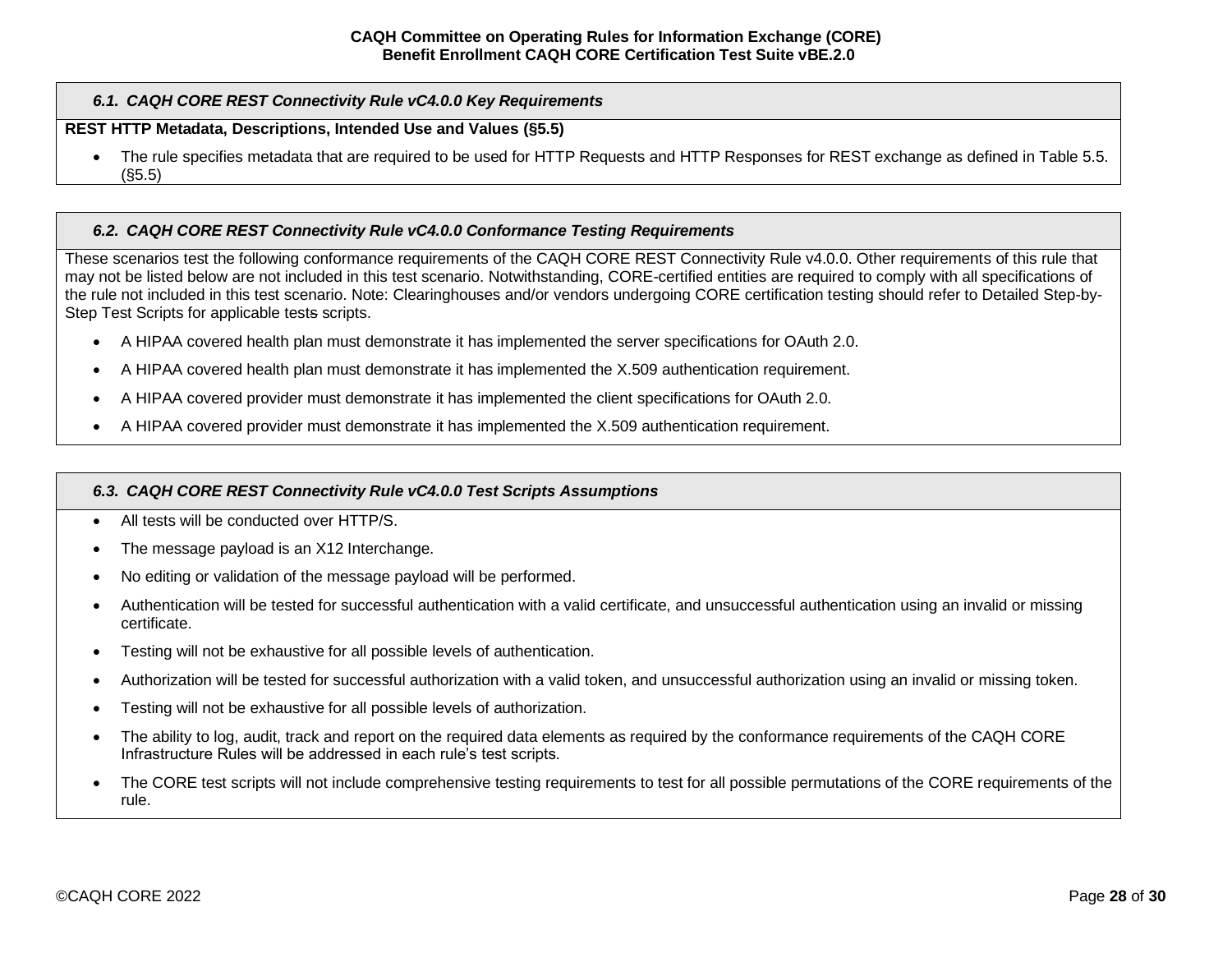## *6.1. CAQH CORE REST Connectivity Rule vC4.0.0 Key Requirements*

# **REST HTTP Metadata, Descriptions, Intended Use and Values (§5.5)**

• The rule specifies metadata that are required to be used for HTTP Requests and HTTP Responses for REST exchange as defined in Table 5.5. (§5.5)

#### <span id="page-27-0"></span>*6.2. CAQH CORE REST Connectivity Rule vC4.0.0 Conformance Testing Requirements*

These scenarios test the following conformance requirements of the CAQH CORE REST Connectivity Rule v4.0.0. Other requirements of this rule that may not be listed below are not included in this test scenario. Notwithstanding, CORE-certified entities are required to comply with all specifications of the rule not included in this test scenario. Note: Clearinghouses and/or vendors undergoing CORE certification testing should refer to Detailed Step-by-Step Test Scripts for applicable tests scripts.

- A HIPAA covered health plan must demonstrate it has implemented the server specifications for OAuth 2.0.
- A HIPAA covered health plan must demonstrate it has implemented the X.509 authentication requirement.
- A HIPAA covered provider must demonstrate it has implemented the client specifications for OAuth 2.0.
- A HIPAA covered provider must demonstrate it has implemented the X.509 authentication requirement.

#### <span id="page-27-1"></span>*6.3. CAQH CORE REST Connectivity Rule vC4.0.0 Test Scripts Assumptions*

- All tests will be conducted over HTTP/S.
- The message payload is an X12 Interchange.
- No editing or validation of the message payload will be performed.
- Authentication will be tested for successful authentication with a valid certificate, and unsuccessful authentication using an invalid or missing certificate.
- Testing will not be exhaustive for all possible levels of authentication.
- Authorization will be tested for successful authorization with a valid token, and unsuccessful authorization using an invalid or missing token.
- Testing will not be exhaustive for all possible levels of authorization.
- The ability to log, audit, track and report on the required data elements as required by the conformance requirements of the CAQH CORE Infrastructure Rules will be addressed in each rule's test scripts.
- The CORE test scripts will not include comprehensive testing requirements to test for all possible permutations of the CORE requirements of the rule.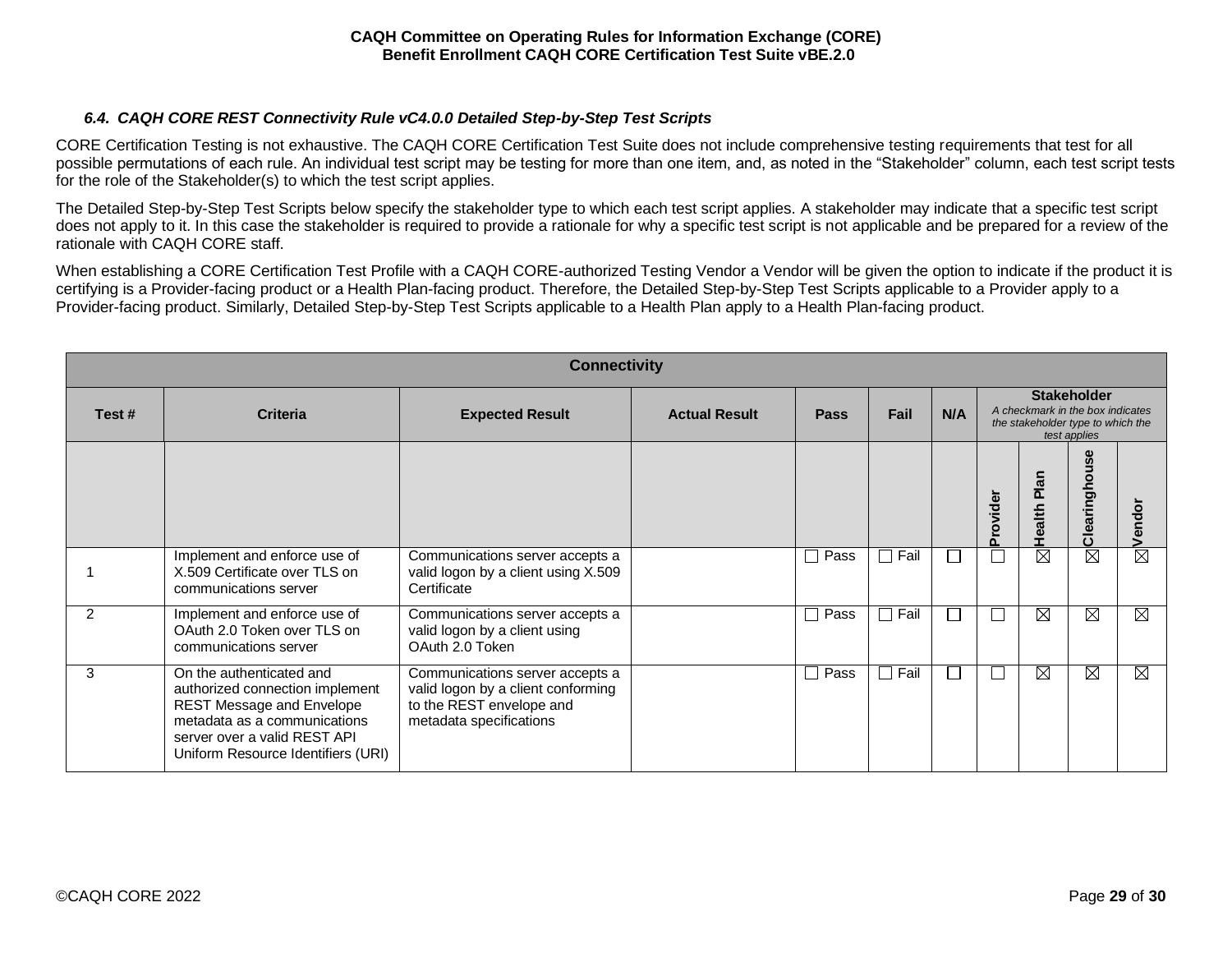# *6.4. CAQH CORE REST Connectivity Rule vC4.0.0 Detailed Step-by-Step Test Scripts*

<span id="page-28-0"></span>CORE Certification Testing is not exhaustive. The CAQH CORE Certification Test Suite does not include comprehensive testing requirements that test for all possible permutations of each rule. An individual test script may be testing for more than one item, and, as noted in the "Stakeholder" column, each test script tests for the role of the Stakeholder(s) to which the test script applies.

The Detailed Step-by-Step Test Scripts below specify the stakeholder type to which each test script applies. A stakeholder may indicate that a specific test script does not apply to it. In this case the stakeholder is required to provide a rationale for why a specific test script is not applicable and be prepared for a review of the rationale with CAQH CORE staff.

When establishing a CORE Certification Test Profile with a CAQH CORE-authorized Testing Vendor a Vendor will be given the option to indicate if the product it is certifying is a Provider-facing product or a Health Plan-facing product. Therefore, the Detailed Step-by-Step Test Scripts applicable to a Provider apply to a Provider-facing product. Similarly, Detailed Step-by-Step Test Scripts applicable to a Health Plan apply to a Health Plan-facing product.

| <b>Connectivity</b> |                                                                                                                                                                                                |                                                                                                                              |                      |                |                      |              |                                                                                                             |             |               |             |
|---------------------|------------------------------------------------------------------------------------------------------------------------------------------------------------------------------------------------|------------------------------------------------------------------------------------------------------------------------------|----------------------|----------------|----------------------|--------------|-------------------------------------------------------------------------------------------------------------|-------------|---------------|-------------|
| Test#               | <b>Criteria</b>                                                                                                                                                                                | <b>Expected Result</b>                                                                                                       | <b>Actual Result</b> | <b>Pass</b>    | Fail                 | N/A          | <b>Stakeholder</b><br>A checkmark in the box indicates<br>the stakeholder type to which the<br>test applies |             |               |             |
|                     |                                                                                                                                                                                                |                                                                                                                              |                      |                |                      |              | Provider                                                                                                    | Health Plan | Clearinghouse | Vendor      |
|                     | Implement and enforce use of<br>X.509 Certificate over TLS on<br>communications server                                                                                                         | Communications server accepts a<br>valid logon by a client using X.509<br>Certificate                                        |                      | $\square$ Pass | Fail                 |              |                                                                                                             | $\boxtimes$ | $\boxtimes$   | ⊠           |
| $\mathcal{P}$       | Implement and enforce use of<br>OAuth 2.0 Token over TLS on<br>communications server                                                                                                           | Communications server accepts a<br>valid logon by a client using<br>OAuth 2.0 Token                                          |                      | $\square$ Pass | Fail<br>$\Box$       |              |                                                                                                             | $\boxtimes$ | $\boxtimes$   | $\boxtimes$ |
| 3                   | On the authenticated and<br>authorized connection implement<br>REST Message and Envelope<br>metadata as a communications<br>server over a valid REST API<br>Uniform Resource Identifiers (URI) | Communications server accepts a<br>valid logon by a client conforming<br>to the REST envelope and<br>metadata specifications |                      | $\square$ Pass | Fail<br>$\mathbf{I}$ | $\mathbf{I}$ |                                                                                                             | X           | $\boxtimes$   | ⊠           |